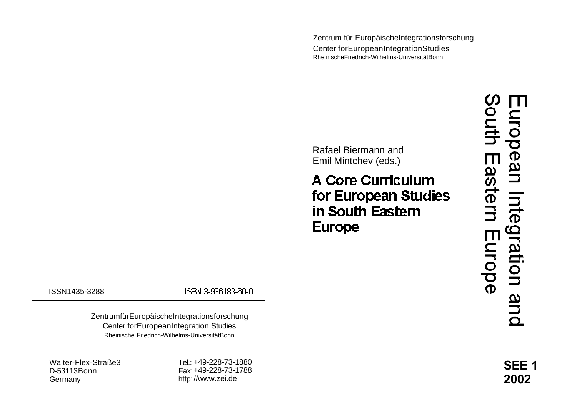Zentrum für EuropäischeIntegrationsforschung Center forEuropeanIntegrationStudies RheinischeFriedrich-Wilhelms-UniversitätBonn

Rafael Biermann and Emil Mintchev (eds.)

**A Core Curriculum** for European Studies in South Eastern **Europe** 

 $\boldsymbol{\mathcal{D}}$ outh nrop ean Inte Eastern  $\tilde{Q}$ Europe ation and

ISSN1435-3288

ISBN 3-936183-60-0

ZentrumfürEuropäischeIntegrationsforschung Center forEuropeanIntegration Studies Rheinische Friedrich-Wilhelms-UniversitätBonn

Walter-Flex-Straße3 D-53113Bonn Germany

Tel.: +49-228-73-1880 Fax: +49-228-73-1788 http: //www.zei.de

**SEE 1 2002**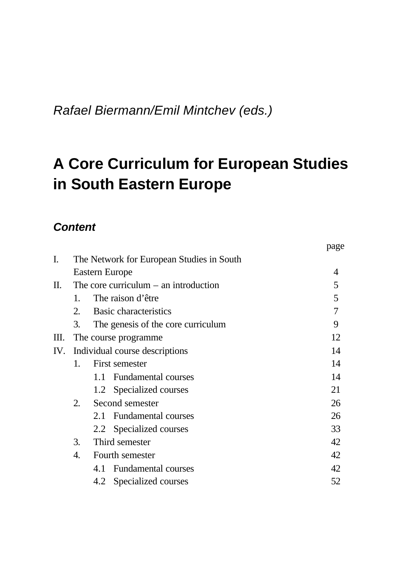*Rafael Biermann/Emil Mintchev (eds.)*

# **A Core Curriculum for European Studies in South Eastern Europe**

page

# *Content*

| I.  |                                         | The Network for European Studies in South |                |
|-----|-----------------------------------------|-------------------------------------------|----------------|
|     |                                         | Eastern Europe                            | 4              |
| П.  | The core curriculum $-$ an introduction |                                           | 5              |
|     | 1.                                      | The raison d'être                         | 5              |
|     | 2.                                      | <b>Basic characteristics</b>              | $\overline{7}$ |
|     | 3.                                      | The genesis of the core curriculum        | 9              |
| Ш.  |                                         | The course programme.                     | 12             |
| IV. | Individual course descriptions          |                                           | 14             |
|     | 1.                                      | First semester                            | 14             |
|     |                                         | 1.1 Fundamental courses                   | 14             |
|     |                                         | 1.2 Specialized courses                   | 21             |
|     | 2.                                      | Second semester                           | 26             |
|     |                                         | 2.1 Fundamental courses                   | 26             |
|     |                                         | 2.2 Specialized courses                   | 33             |
|     | 3.                                      | Third semester                            | 42             |
|     | 4.                                      | Fourth semester                           | 42             |
|     |                                         | 4.1 Fundamental courses                   | 42             |
|     |                                         | Specialized courses<br>4.2                | 52             |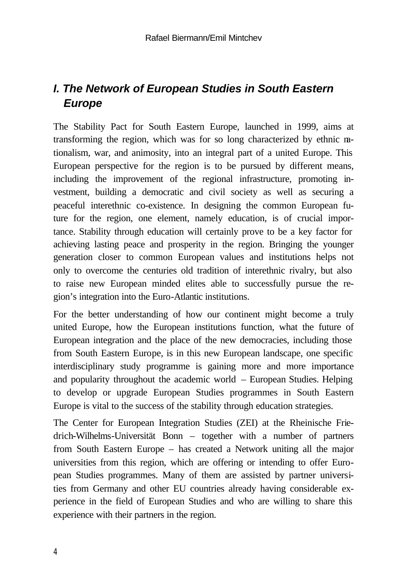# *I. The Network of European Studies in South Eastern Europe*

The Stability Pact for South Eastern Europe, launched in 1999, aims at transforming the region, which was for so long characterized by ethnic nationalism, war, and animosity, into an integral part of a united Europe. This European perspective for the region is to be pursued by different means, including the improvement of the regional infrastructure, promoting investment, building a democratic and civil society as well as securing a peaceful interethnic co-existence. In designing the common European future for the region, one element, namely education, is of crucial importance. Stability through education will certainly prove to be a key factor for achieving lasting peace and prosperity in the region. Bringing the younger generation closer to common European values and institutions helps not only to overcome the centuries old tradition of interethnic rivalry, but also to raise new European minded elites able to successfully pursue the region's integration into the Euro-Atlantic institutions.

For the better understanding of how our continent might become a truly united Europe, how the European institutions function, what the future of European integration and the place of the new democracies, including those from South Eastern Europe, is in this new European landscape, one specific interdisciplinary study programme is gaining more and more importance and popularity throughout the academic world – European Studies. Helping to develop or upgrade European Studies programmes in South Eastern Europe is vital to the success of the stability through education strategies.

The Center for European Integration Studies (ZEI) at the Rheinische Friedrich-Wilhelms-Universität Bonn – together with a number of partners from South Eastern Europe – has created a Network uniting all the major universities from this region, which are offering or intending to offer European Studies programmes. Many of them are assisted by partner universities from Germany and other EU countries already having considerable experience in the field of European Studies and who are willing to share this experience with their partners in the region.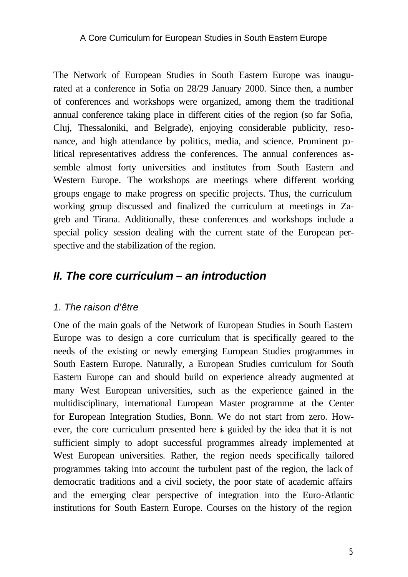The Network of European Studies in South Eastern Europe was inaugurated at a conference in Sofia on 28/29 January 2000. Since then, a number of conferences and workshops were organized, among them the traditional annual conference taking place in different cities of the region (so far Sofia, Cluj, Thessaloniki, and Belgrade), enjoying considerable publicity, resonance, and high attendance by politics, media, and science. Prominent political representatives address the conferences. The annual conferences assemble almost forty universities and institutes from South Eastern and Western Europe. The workshops are meetings where different working groups engage to make progress on specific projects. Thus, the curriculum working group discussed and finalized the curriculum at meetings in Zagreb and Tirana. Additionally, these conferences and workshops include a special policy session dealing with the current state of the European perspective and the stabilization of the region.

# *II. The core curriculum – an introduction*

#### *1. The raison d'être*

One of the main goals of the Network of European Studies in South Eastern Europe was to design a core curriculum that is specifically geared to the needs of the existing or newly emerging European Studies programmes in South Eastern Europe. Naturally, a European Studies curriculum for South Eastern Europe can and should build on experience already augmented at many West European universities, such as the experience gained in the multidisciplinary, international European Master programme at the Center for European Integration Studies, Bonn. We do not start from zero. However, the core curriculum presented here is guided by the idea that it is not sufficient simply to adopt successful programmes already implemented at West European universities. Rather, the region needs specifically tailored programmes taking into account the turbulent past of the region, the lack of democratic traditions and a civil society, the poor state of academic affairs and the emerging clear perspective of integration into the Euro-Atlantic institutions for South Eastern Europe. Courses on the history of the region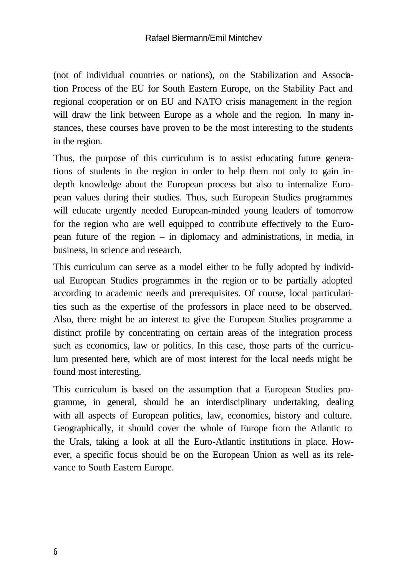(not of individual countries or nations), on the Stabilization and Association Process of the EU for South Eastern Europe, on the Stability Pact and regional cooperation or on EU and NATO crisis management in the region will draw the link between Europe as a whole and the region. In many instances, these courses have proven to be the most interesting to the students in the region.

Thus, the purpose of this curriculum is to assist educating future generations of students in the region in order to help them not only to gain indepth knowledge about the European process but also to internalize European values during their studies. Thus, such European Studies programmes will educate urgently needed European-minded young leaders of tomorrow for the region who are well equipped to contribute effectively to the European future of the region – in diplomacy and administrations, in media, in business, in science and research.

This curriculum can serve as a model either to be fully adopted by individual European Studies programmes in the region or to be partially adopted according to academic needs and prerequisites. Of course, local particularities such as the expertise of the professors in place need to be observed. Also, there might be an interest to give the European Studies programme a distinct profile by concentrating on certain areas of the integration process such as economics, law or politics. In this case, those parts of the curriculum presented here, which are of most interest for the local needs might be found most interesting.

This curriculum is based on the assumption that a European Studies programme, in general, should be an interdisciplinary undertaking, dealing with all aspects of European politics, law, economics, history and culture. Geographically, it should cover the whole of Europe from the Atlantic to the Urals, taking a look at all the Euro-Atlantic institutions in place. However, a specific focus should be on the European Union as well as its relevance to South Eastern Europe.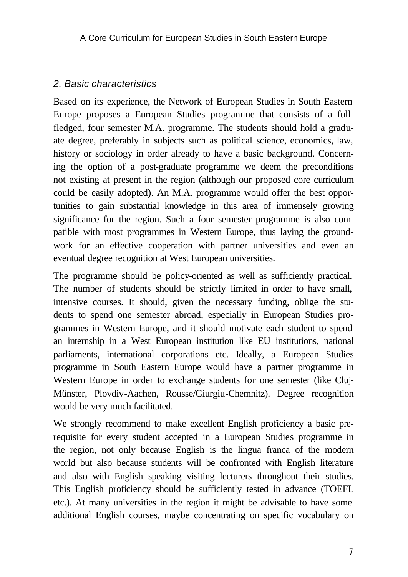### *2. Basic characteristics*

Based on its experience, the Network of European Studies in South Eastern Europe proposes a European Studies programme that consists of a fullfledged, four semester M.A. programme. The students should hold a graduate degree, preferably in subjects such as political science, economics, law, history or sociology in order already to have a basic background. Concerning the option of a post-graduate programme we deem the preconditions not existing at present in the region (although our proposed core curriculum could be easily adopted). An M.A. programme would offer the best opportunities to gain substantial knowledge in this area of immensely growing significance for the region. Such a four semester programme is also compatible with most programmes in Western Europe, thus laying the groundwork for an effective cooperation with partner universities and even an eventual degree recognition at West European universities.

The programme should be policy-oriented as well as sufficiently practical. The number of students should be strictly limited in order to have small, intensive courses. It should, given the necessary funding, oblige the students to spend one semester abroad, especially in European Studies programmes in Western Europe, and it should motivate each student to spend an internship in a West European institution like EU institutions, national parliaments, international corporations etc. Ideally, a European Studies programme in South Eastern Europe would have a partner programme in Western Europe in order to exchange students for one semester (like Cluj-Münster, Plovdiv-Aachen, Rousse/Giurgiu-Chemnitz). Degree recognition would be very much facilitated.

We strongly recommend to make excellent English proficiency a basic prerequisite for every student accepted in a European Studies programme in the region, not only because English is the lingua franca of the modern world but also because students will be confronted with English literature and also with English speaking visiting lecturers throughout their studies. This English proficiency should be sufficiently tested in advance (TOEFL etc.). At many universities in the region it might be advisable to have some additional English courses, maybe concentrating on specific vocabulary on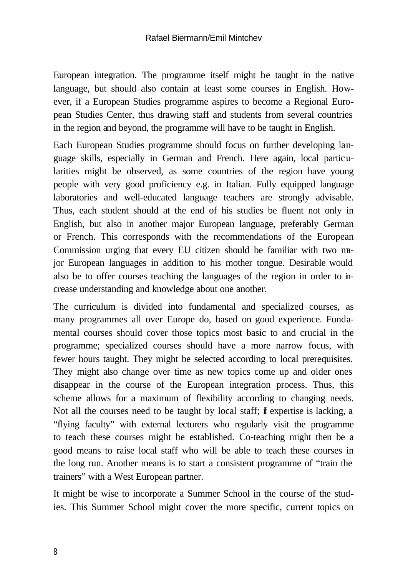European integration. The programme itself might be taught in the native language, but should also contain at least some courses in English. However, if a European Studies programme aspires to become a Regional European Studies Center, thus drawing staff and students from several countries in the region and beyond, the programme will have to be taught in English.

Each European Studies programme should focus on further developing language skills, especially in German and French. Here again, local particularities might be observed, as some countries of the region have young people with very good proficiency e.g. in Italian. Fully equipped language laboratories and well-educated language teachers are strongly advisable. Thus, each student should at the end of his studies be fluent not only in English, but also in another major European language, preferably German or French. This corresponds with the recommendations of the European Commission urging that every EU citizen should be familiar with two major European languages in addition to his mother tongue. Desirable would also be to offer courses teaching the languages of the region in order to increase understanding and knowledge about one another.

The curriculum is divided into fundamental and specialized courses, as many programmes all over Europe do, based on good experience. Fundamental courses should cover those topics most basic to and crucial in the programme; specialized courses should have a more narrow focus, with fewer hours taught. They might be selected according to local prerequisites. They might also change over time as new topics come up and older ones disappear in the course of the European integration process. Thus, this scheme allows for a maximum of flexibility according to changing needs. Not all the courses need to be taught by local staff; f expertise is lacking, a "flying faculty" with external lecturers who regularly visit the programme to teach these courses might be established. Co-teaching might then be a good means to raise local staff who will be able to teach these courses in the long run. Another means is to start a consistent programme of "train the trainers" with a West European partner.

It might be wise to incorporate a Summer School in the course of the studies. This Summer School might cover the more specific, current topics on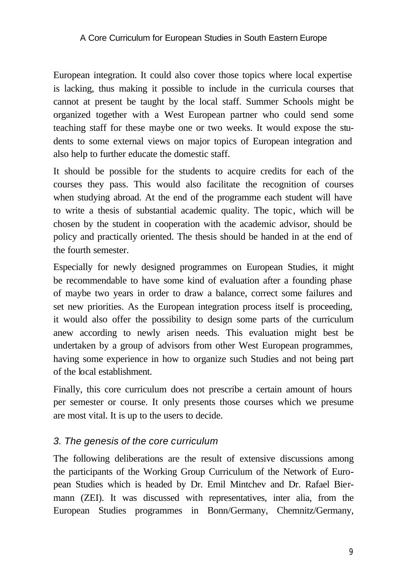European integration. It could also cover those topics where local expertise is lacking, thus making it possible to include in the curricula courses that cannot at present be taught by the local staff. Summer Schools might be organized together with a West European partner who could send some teaching staff for these maybe one or two weeks. It would expose the students to some external views on major topics of European integration and also help to further educate the domestic staff.

It should be possible for the students to acquire credits for each of the courses they pass. This would also facilitate the recognition of courses when studying abroad. At the end of the programme each student will have to write a thesis of substantial academic quality. The topic, which will be chosen by the student in cooperation with the academic advisor, should be policy and practically oriented. The thesis should be handed in at the end of the fourth semester.

Especially for newly designed programmes on European Studies, it might be recommendable to have some kind of evaluation after a founding phase of maybe two years in order to draw a balance, correct some failures and set new priorities. As the European integration process itself is proceeding, it would also offer the possibility to design some parts of the curriculum anew according to newly arisen needs. This evaluation might best be undertaken by a group of advisors from other West European programmes, having some experience in how to organize such Studies and not being part of the local establishment.

Finally, this core curriculum does not prescribe a certain amount of hours per semester or course. It only presents those courses which we presume are most vital. It is up to the users to decide.

#### *3. The genesis of the core curriculum*

The following deliberations are the result of extensive discussions among the participants of the Working Group Curriculum of the Network of European Studies which is headed by Dr. Emil Mintchev and Dr. Rafael Biermann (ZEI). It was discussed with representatives, inter alia, from the European Studies programmes in Bonn/Germany, Chemnitz/Germany,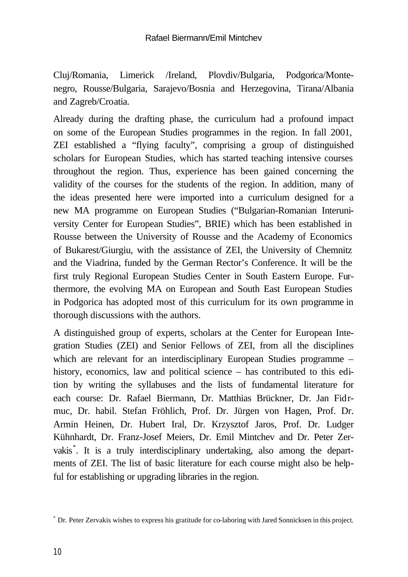Cluj/Romania, Limerick /Ireland, Plovdiv/Bulgaria, Podgorica/Montenegro, Rousse/Bulgaria, Sarajevo/Bosnia and Herzegovina, Tirana/Albania and Zagreb/Croatia.

Already during the drafting phase, the curriculum had a profound impact on some of the European Studies programmes in the region. In fall 2001, ZEI established a "flying faculty", comprising a group of distinguished scholars for European Studies, which has started teaching intensive courses throughout the region. Thus, experience has been gained concerning the validity of the courses for the students of the region. In addition, many of the ideas presented here were imported into a curriculum designed for a new MA programme on European Studies ("Bulgarian-Romanian Interuniversity Center for European Studies", BRIE) which has been established in Rousse between the University of Rousse and the Academy of Economics of Bukarest/Giurgiu, with the assistance of ZEI, the University of Chemnitz and the Viadrina, funded by the German Rector's Conference. It will be the first truly Regional European Studies Center in South Eastern Europe. Furthermore, the evolving MA on European and South East European Studies in Podgorica has adopted most of this curriculum for its own programme in thorough discussions with the authors.

A distinguished group of experts, scholars at the Center for European Integration Studies (ZEI) and Senior Fellows of ZEI, from all the disciplines which are relevant for an interdisciplinary European Studies programme – history, economics, law and political science – has contributed to this edition by writing the syllabuses and the lists of fundamental literature for each course: Dr. Rafael Biermann, Dr. Matthias Brückner, Dr. Jan Fidrmuc, Dr. habil. Stefan Fröhlich, Prof. Dr. Jürgen von Hagen, Prof. Dr. Armin Heinen, Dr. Hubert Iral, Dr. Krzysztof Jaros, Prof. Dr. Ludger Kühnhardt, Dr. Franz-Josef Meiers, Dr. Emil Mintchev and Dr. Peter Zervakis\* . It is a truly interdisciplinary undertaking, also among the departments of ZEI. The list of basic literature for each course might also be helpful for establishing or upgrading libraries in the region.

<sup>\*</sup> Dr. Peter Zervakis wishes to express his gratitude for co-laboring with Jared Sonnicksen in this project.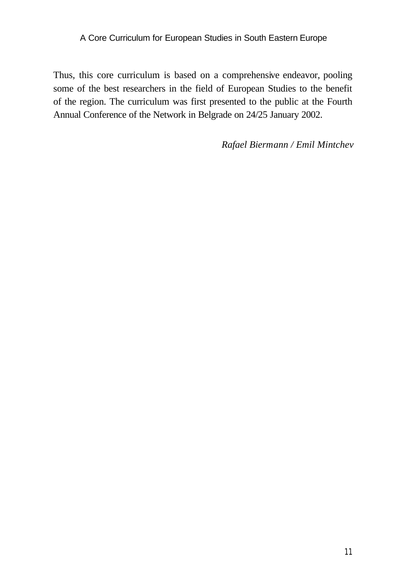Thus, this core curriculum is based on a comprehensive endeavor, pooling some of the best researchers in the field of European Studies to the benefit of the region. The curriculum was first presented to the public at the Fourth Annual Conference of the Network in Belgrade on 24/25 January 2002.

*Rafael Biermann / Emil Mintchev*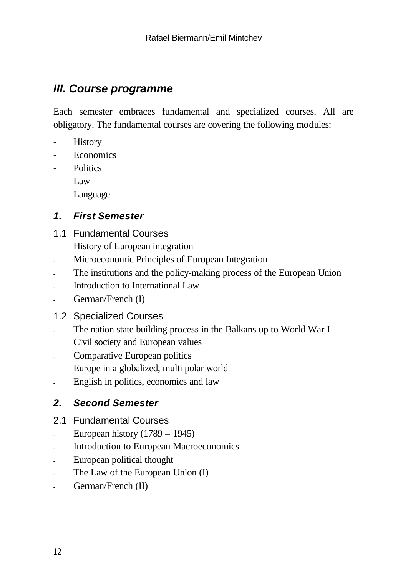# *III. Course programme*

Each semester embraces fundamental and specialized courses. All are obligatory. The fundamental courses are covering the following modules:

- **History**
- **Economics**
- **Politics**
- Law
- Language

# *1. First Semester*

- 1.1 Fundamental Courses
- History of European integration
- Microeconomic Principles of European Integration
- The institutions and the policy-making process of the European Union
- Introduction to International Law
- German/French (I)
- 1.2 Specialized Courses
- The nation state building process in the Balkans up to World War I
- Civil society and European values
- Comparative European politics
- Europe in a globalized, multi-polar world
- English in politics, economics and law

# *2. Second Semester*

- 2.1 Fundamental Courses
- European history  $(1789 1945)$
- Introduction to European Macroeconomics
- European political thought
- The Law of the European Union (I)
- German/French (II)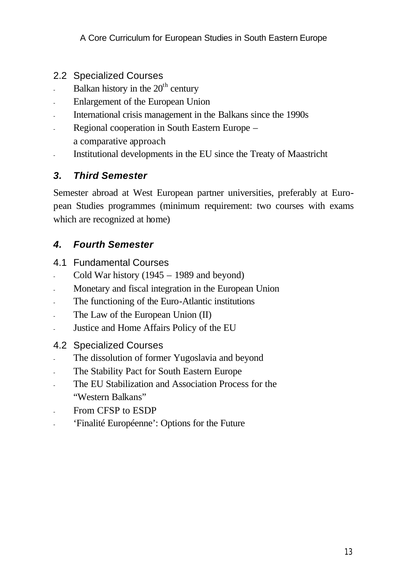- 2.2 Specialized Courses
- Balkan history in the  $20<sup>th</sup>$  century
- Enlargement of the European Union
- International crisis management in the Balkans since the 1990s
- Regional cooperation in South Eastern Europe a comparative approach
- Institutional developments in the EU since the Treaty of Maastricht

# *3. Third Semester*

Semester abroad at West European partner universities, preferably at European Studies programmes (minimum requirement: two courses with exams which are recognized at home)

#### *4. Fourth Semester*

- 4.1 Fundamental Courses
- Cold War history  $(1945 1989)$  and beyond)
- Monetary and fiscal integration in the European Union
- The functioning of the Euro-Atlantic institutions
- The Law of the European Union (II)
- Justice and Home Affairs Policy of the EU

#### 4.2 Specialized Courses

- The dissolution of former Yugoslavia and beyond
- The Stability Pact for South Eastern Europe
- The EU Stabilization and Association Process for the "Western Balkans"
- From CFSP to ESDP
- 'Finalité Européenne': Options for the Future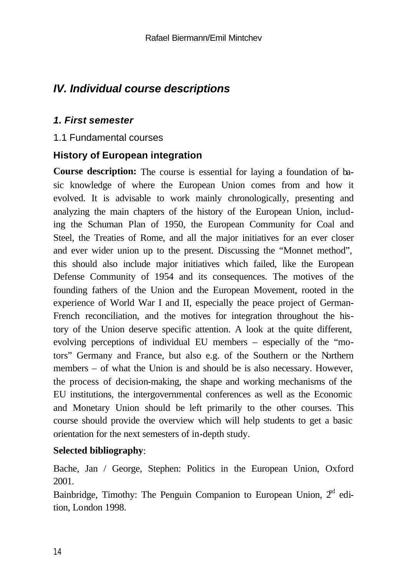# *IV. Individual course descriptions*

#### *1. First semester*

#### 1.1 Fundamental courses

#### **History of European integration**

**Course description:** The course is essential for laying a foundation of basic knowledge of where the European Union comes from and how it evolved. It is advisable to work mainly chronologically, presenting and analyzing the main chapters of the history of the European Union, including the Schuman Plan of 1950, the European Community for Coal and Steel, the Treaties of Rome, and all the major initiatives for an ever closer and ever wider union up to the present. Discussing the "Monnet method", this should also include major initiatives which failed, like the European Defense Community of 1954 and its consequences. The motives of the founding fathers of the Union and the European Movement, rooted in the experience of World War I and II, especially the peace project of German-French reconciliation, and the motives for integration throughout the history of the Union deserve specific attention. A look at the quite different, evolving perceptions of individual EU members – especially of the "motors" Germany and France, but also e.g. of the Southern or the Northern members – of what the Union is and should be is also necessary. However, the process of decision-making, the shape and working mechanisms of the EU institutions, the intergovernmental conferences as well as the Economic and Monetary Union should be left primarily to the other courses. This course should provide the overview which will help students to get a basic orientation for the next semesters of in-depth study.

#### **Selected bibliography**:

Bache, Jan / George, Stephen: Politics in the European Union, Oxford 2001.

Bainbridge, Timothy: The Penguin Companion to European Union,  $2<sup>rd</sup>$  edition, London 1998.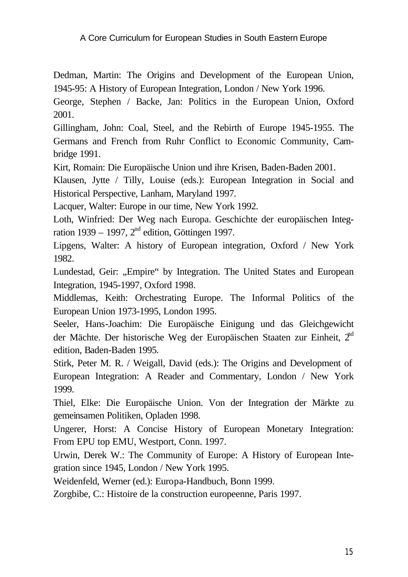Dedman, Martin: The Origins and Development of the European Union, 1945-95: A History of European Integration, London / New York 1996.

George, Stephen / Backe, Jan: Politics in the European Union, Oxford 2001.

Gillingham, John: Coal, Steel, and the Rebirth of Europe 1945-1955. The Germans and French from Ruhr Conflict to Economic Community, Cambridge 1991.

Kirt, Romain: Die Europäische Union und ihre Krisen, Baden-Baden 2001.

Klausen, Jytte / Tilly, Louise (eds.): European Integration in Social and Historical Perspective, Lanham, Maryland 1997.

Lacquer, Walter: Europe in our time, New York 1992.

Loth, Winfried: Der Weg nach Europa. Geschichte der europäischen Integration 1939 – 1997,  $2<sup>nd</sup>$  edition, Göttingen 1997.

Lipgens, Walter: A history of European integration, Oxford / New York 1982.

Lundestad, Geir: "Empire" by Integration. The United States and European Integration, 1945-1997, Oxford 1998.

Middlemas, Keith: Orchestrating Europe. The Informal Politics of the European Union 1973-1995, London 1995.

Seeler, Hans-Joachim: Die Europäische Einigung und das Gleichgewicht der Mächte. Der historische Weg der Europäischen Staaten zur Einheit, 2<sup>nd</sup> edition, Baden-Baden 1995.

Stirk, Peter M. R. / Weigall, David (eds.): The Origins and Development of European Integration: A Reader and Commentary, London / New York 1999.

Thiel, Elke: Die Europäische Union. Von der Integration der Märkte zu gemeinsamen Politiken, Opladen 1998.

Ungerer, Horst: A Concise History of European Monetary Integration: From EPU top EMU, Westport, Conn. 1997.

Urwin, Derek W.: The Community of Europe: A History of European Integration since 1945, London / New York 1995.

Weidenfeld, Werner (ed.): Europa-Handbuch, Bonn 1999.

Zorgbibe, C.: Histoire de la construction europeenne, Paris 1997.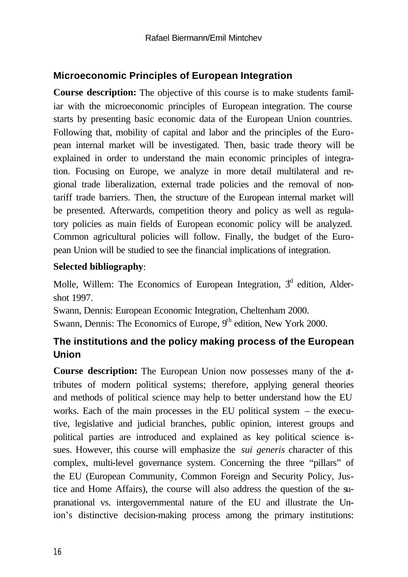# **Microeconomic Principles of European Integration**

**Course description:** The objective of this course is to make students familiar with the microeconomic principles of European integration. The course starts by presenting basic economic data of the European Union countries. Following that, mobility of capital and labor and the principles of the European internal market will be investigated. Then, basic trade theory will be explained in order to understand the main economic principles of integration. Focusing on Europe, we analyze in more detail multilateral and regional trade liberalization, external trade policies and the removal of nontariff trade barriers. Then, the structure of the European internal market will be presented. Afterwards, competition theory and policy as well as regulatory policies as main fields of European economic policy will be analyzed. Common agricultural policies will follow. Finally, the budget of the European Union will be studied to see the financial implications of integration.

#### **Selected bibliography**:

Molle, Willem: The Economics of European Integration,  $3<sup>d</sup>$  edition, Aldershot 1997.

Swann, Dennis: European Economic Integration, Cheltenham 2000.

Swann, Dennis: The Economics of Europe,  $9<sup>th</sup>$  edition, New York 2000.

# **The institutions and the policy making process of the European Union**

**Course description:** The European Union now possesses many of the attributes of modern political systems; therefore, applying general theories and methods of political science may help to better understand how the EU works. Each of the main processes in the EU political system – the executive, legislative and judicial branches, public opinion, interest groups and political parties are introduced and explained as key political science issues. However, this course will emphasize the *sui generis* character of this complex, multi-level governance system. Concerning the three "pillars" of the EU (European Community, Common Foreign and Security Policy, Justice and Home Affairs), the course will also address the question of the supranational vs. intergovernmental nature of the EU and illustrate the Union's distinctive decision-making process among the primary institutions: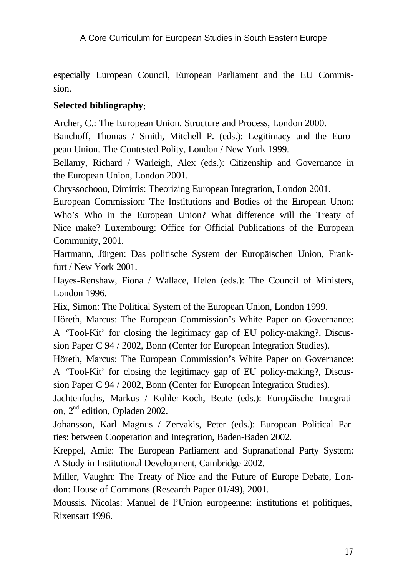especially European Council, European Parliament and the EU Commission.

### **Selected bibliography**:

Archer, C.: The European Union. Structure and Process, London 2000.

Banchoff, Thomas / Smith, Mitchell P. (eds.): Legitimacy and the European Union. The Contested Polity, London / New York 1999.

Bellamy, Richard / Warleigh, Alex (eds.): Citizenship and Governance in the European Union, London 2001.

Chryssochoou, Dimitris: Theorizing European Integration, London 2001.

European Commission: The Institutions and Bodies of the European Unon: Who's Who in the European Union? What difference will the Treaty of Nice make? Luxembourg: Office for Official Publications of the European Community, 2001.

Hartmann, Jürgen: Das politische System der Europäischen Union, Frankfurt / New York 2001.

Hayes-Renshaw, Fiona / Wallace, Helen (eds.): The Council of Ministers, London 1996.

Hix, Simon: The Political System of the European Union, London 1999.

Höreth, Marcus: The European Commission's White Paper on Governance: A 'Tool-Kit' for closing the legitimacy gap of EU policy-making?, Discussion Paper C 94 / 2002, Bonn (Center for European Integration Studies).

Höreth, Marcus: The European Commission's White Paper on Governance: A 'Tool-Kit' for closing the legitimacy gap of EU policy-making?, Discussion Paper C 94 / 2002, Bonn (Center for European Integration Studies).

Jachtenfuchs, Markus / Kohler-Koch, Beate (eds.): Europäische Integration, 2nd edition, Opladen 2002.

Johansson, Karl Magnus / Zervakis, Peter (eds.): European Political Parties: between Cooperation and Integration, Baden-Baden 2002.

Kreppel, Amie: The European Parliament and Supranational Party System: A Study in Institutional Development, Cambridge 2002.

Miller, Vaughn: The Treaty of Nice and the Future of Europe Debate, London: House of Commons (Research Paper 01/49), 2001.

Moussis, Nicolas: Manuel de l'Union europeenne: institutions et politiques, Rixensart 1996.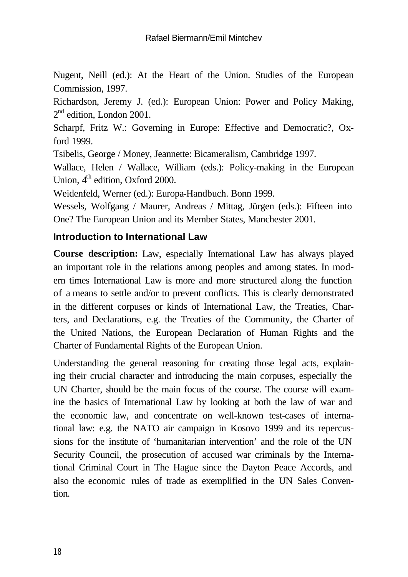Nugent, Neill (ed.): At the Heart of the Union. Studies of the European Commission, 1997.

Richardson, Jeremy J. (ed.): European Union: Power and Policy Making,  $2<sup>nd</sup>$  edition, London 2001.

Scharpf, Fritz W.: Governing in Europe: Effective and Democratic?, Oxford 1999.

Tsibelis, George / Money, Jeannette: Bicameralism, Cambridge 1997.

Wallace, Helen / Wallace, William (eds.): Policy-making in the European Union, 4<sup>th</sup> edition, Oxford 2000.

Weidenfeld, Werner (ed.): Europa-Handbuch. Bonn 1999.

Wessels, Wolfgang / Maurer, Andreas / Mittag, Jürgen (eds.): Fifteen into One? The European Union and its Member States, Manchester 2001.

# **Introduction to International Law**

**Course description:** Law, especially International Law has always played an important role in the relations among peoples and among states. In modern times International Law is more and more structured along the function of a means to settle and/or to prevent conflicts. This is clearly demonstrated in the different corpuses or kinds of International Law, the Treaties, Charters, and Declarations, e.g. the Treaties of the Community, the Charter of the United Nations, the European Declaration of Human Rights and the Charter of Fundamental Rights of the European Union.

Understanding the general reasoning for creating those legal acts, explaining their crucial character and introducing the main corpuses, especially the UN Charter, should be the main focus of the course. The course will examine the basics of International Law by looking at both the law of war and the economic law, and concentrate on well-known test-cases of international law: e.g. the NATO air campaign in Kosovo 1999 and its repercussions for the institute of 'humanitarian intervention' and the role of the UN Security Council, the prosecution of accused war criminals by the International Criminal Court in The Hague since the Dayton Peace Accords, and also the economic rules of trade as exemplified in the UN Sales Convention.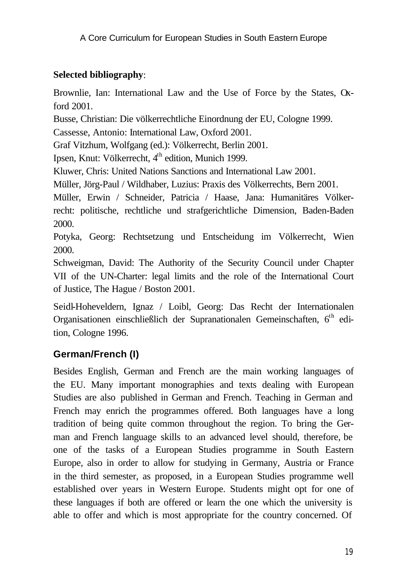# **Selected bibliography**:

Brownlie, Ian: International Law and the Use of Force by the States, Oxford 2001.

Busse, Christian: Die völkerrechtliche Einordnung der EU, Cologne 1999.

Cassesse, Antonio: International Law, Oxford 2001.

Graf Vitzhum, Wolfgang (ed.): Völkerrecht, Berlin 2001.

Ipsen, Knut: Völkerrecht, 4<sup>th</sup> edition, Munich 1999.

Kluwer, Chris: United Nations Sanctions and International Law 2001.

Müller, Jörg-Paul / Wildhaber, Luzius: Praxis des Völkerrechts, Bern 2001.

Müller, Erwin / Schneider, Patricia / Haase, Jana: Humanitäres Völkerrecht: politische, rechtliche und strafgerichtliche Dimension, Baden-Baden 2000.

Potyka, Georg: Rechtsetzung und Entscheidung im Völkerrecht, Wien 2000.

Schweigman, David: The Authority of the Security Council under Chapter VII of the UN-Charter: legal limits and the role of the International Court of Justice, The Hague / Boston 2001.

Seidl-Hoheveldern, Ignaz / Loibl, Georg: Das Recht der Internationalen Organisationen einschließlich der Supranationalen Gemeinschaften, 6<sup>th</sup> edition, Cologne 1996.

# **German/French (I)**

Besides English, German and French are the main working languages of the EU. Many important monographies and texts dealing with European Studies are also published in German and French. Teaching in German and French may enrich the programmes offered. Both languages have a long tradition of being quite common throughout the region. To bring the German and French language skills to an advanced level should, therefore, be one of the tasks of a European Studies programme in South Eastern Europe, also in order to allow for studying in Germany, Austria or France in the third semester, as proposed, in a European Studies programme well established over years in Western Europe. Students might opt for one of these languages if both are offered or learn the one which the university is able to offer and which is most appropriate for the country concerned. Of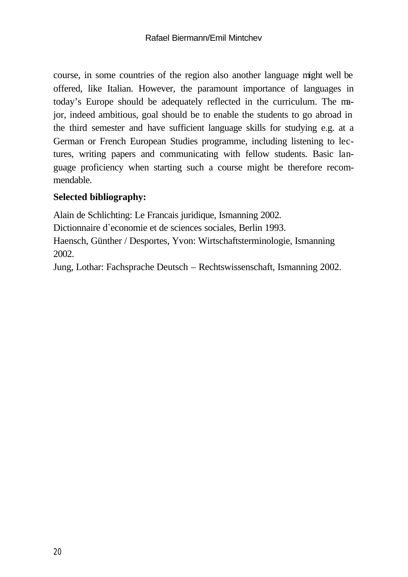course, in some countries of the region also another language might well be offered, like Italian. However, the paramount importance of languages in today's Europe should be adequately reflected in the curriculum. The major, indeed ambitious, goal should be to enable the students to go abroad in the third semester and have sufficient language skills for studying e.g. at a German or French European Studies programme, including listening to lectures, writing papers and communicating with fellow students. Basic language proficiency when starting such a course might be therefore recommendable.

#### **Selected bibliography:**

Alain de Schlichting: Le Francais juridique, Ismanning 2002. Dictionnaire d`economie et de sciences sociales, Berlin 1993. Haensch, Günther / Desportes, Yvon: Wirtschaftsterminologie, Ismanning 2002.

Jung, Lothar: Fachsprache Deutsch – Rechtswissenschaft, Ismanning 2002.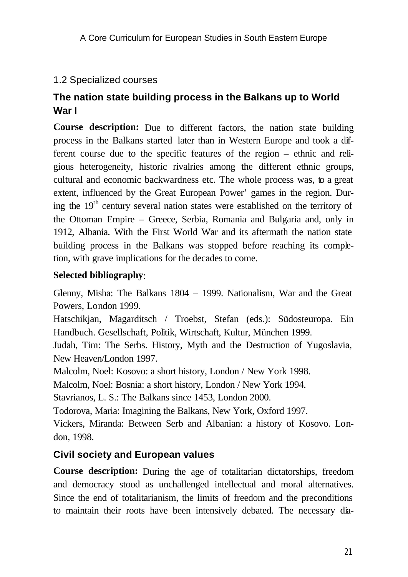# 1.2 Specialized courses

# **The nation state building process in the Balkans up to World War I**

**Course description:** Due to different factors, the nation state building process in the Balkans started later than in Western Europe and took a different course due to the specific features of the region – ethnic and religious heterogeneity, historic rivalries among the different ethnic groups, cultural and economic backwardness etc. The whole process was, to a great extent, influenced by the Great European Power' games in the region. During the  $19<sup>th</sup>$  century several nation states were established on the territory of the Ottoman Empire – Greece, Serbia, Romania and Bulgaria and, only in 1912, Albania. With the First World War and its aftermath the nation state building process in the Balkans was stopped before reaching its completion, with grave implications for the decades to come.

#### **Selected bibliography**:

Glenny, Misha: The Balkans 1804 – 1999. Nationalism, War and the Great Powers, London 1999.

Hatschikjan, Magarditsch / Troebst, Stefan (eds.): Südosteuropa. Ein Handbuch. Gesellschaft, Politik, Wirtschaft, Kultur, München 1999.

Judah, Tim: The Serbs. History, Myth and the Destruction of Yugoslavia, New Heaven/London 1997.

Malcolm, Noel: Kosovo: a short history, London / New York 1998.

Malcolm, Noel: Bosnia: a short history, London / New York 1994.

Stavrianos, L. S.: The Balkans since 1453, London 2000.

Todorova, Maria: Imagining the Balkans, New York, Oxford 1997.

Vickers, Miranda: Between Serb and Albanian: a history of Kosovo. London, 1998.

# **Civil society and European values**

**Course description:** During the age of totalitarian dictatorships, freedom and democracy stood as unchallenged intellectual and moral alternatives. Since the end of totalitarianism, the limits of freedom and the preconditions to maintain their roots have been intensively debated. The necessary dia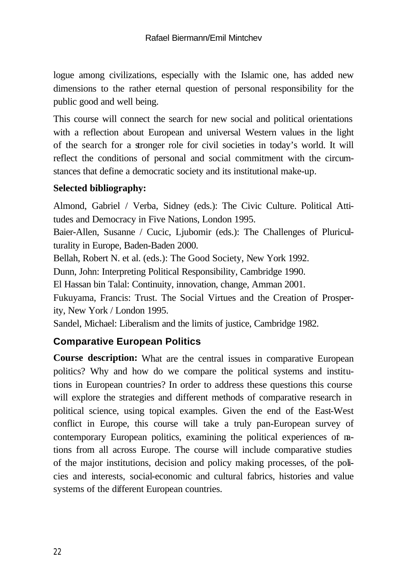logue among civilizations, especially with the Islamic one, has added new dimensions to the rather eternal question of personal responsibility for the public good and well being.

This course will connect the search for new social and political orientations with a reflection about European and universal Western values in the light of the search for a stronger role for civil societies in today's world. It will reflect the conditions of personal and social commitment with the circumstances that define a democratic society and its institutional make-up.

# **Selected bibliography:**

Almond, Gabriel / Verba, Sidney (eds.): The Civic Culture. Political Attitudes and Democracy in Five Nations, London 1995.

Baier-Allen, Susanne / Cucic, Ljubomir (eds.): The Challenges of Pluriculturality in Europe, Baden-Baden 2000.

Bellah, Robert N. et al. (eds.): The Good Society, New York 1992.

Dunn, John: Interpreting Political Responsibility, Cambridge 1990.

El Hassan bin Talal: Continuity, innovation, change, Amman 2001.

Fukuyama, Francis: Trust. The Social Virtues and the Creation of Prosperity, New York / London 1995.

Sandel, Michael: Liberalism and the limits of justice, Cambridge 1982.

# **Comparative European Politics**

**Course description:** What are the central issues in comparative European politics? Why and how do we compare the political systems and institutions in European countries? In order to address these questions this course will explore the strategies and different methods of comparative research in political science, using topical examples. Given the end of the East-West conflict in Europe, this course will take a truly pan-European survey of contemporary European politics, examining the political experiences of nations from all across Europe. The course will include comparative studies of the major institutions, decision and policy making processes, of the policies and interests, social-economic and cultural fabrics, histories and value systems of the different European countries.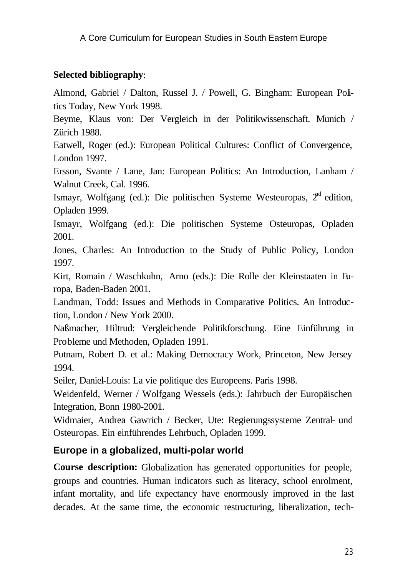#### **Selected bibliography**:

Almond, Gabriel / Dalton, Russel J. / Powell, G. Bingham: European Politics Today, New York 1998.

Beyme, Klaus von: Der Vergleich in der Politikwissenschaft. Munich / Zürich 1988.

Eatwell, Roger (ed.): European Political Cultures: Conflict of Convergence, London 1997.

Ersson, Svante / Lane, Jan: European Politics: An Introduction, Lanham / Walnut Creek, Cal. 1996.

Ismayr, Wolfgang (ed.): Die politischen Systeme Westeuropas,  $2<sup>nd</sup>$  edition, Opladen 1999.

Ismayr, Wolfgang (ed.): Die politischen Systeme Osteuropas, Opladen 2001.

Jones, Charles: An Introduction to the Study of Public Policy, London 1997.

Kirt, Romain / Waschkuhn, Arno (eds.): Die Rolle der Kleinstaaten in Europa, Baden-Baden 2001.

Landman, Todd: Issues and Methods in Comparative Politics. An Introduction, London / New York 2000.

Naßmacher, Hiltrud: Vergleichende Politikforschung. Eine Einführung in Probleme und Methoden, Opladen 1991.

Putnam, Robert D. et al.: Making Democracy Work, Princeton, New Jersey 1994.

Seiler, Daniel-Louis: La vie politique des Europeens. Paris 1998.

Weidenfeld, Werner / Wolfgang Wessels (eds.): Jahrbuch der Europäischen Integration, Bonn 1980-2001.

Widmaier, Andrea Gawrich / Becker, Ute: Regierungssysteme Zentral- und Osteuropas. Ein einführendes Lehrbuch, Opladen 1999.

#### **Europe in a globalized, multi-polar world**

**Course description:** Globalization has generated opportunities for people, groups and countries. Human indicators such as literacy, school enrolment, infant mortality, and life expectancy have enormously improved in the last decades. At the same time, the economic restructuring, liberalization, tech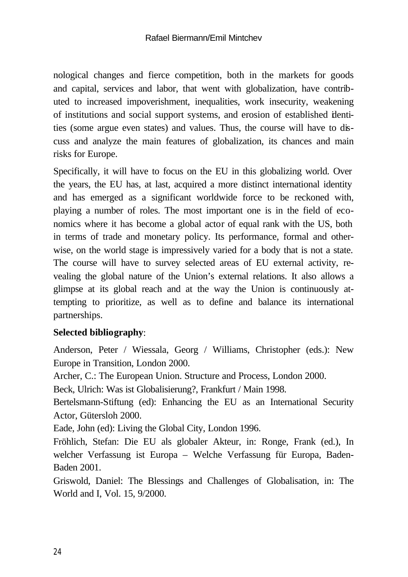nological changes and fierce competition, both in the markets for goods and capital, services and labor, that went with globalization, have contributed to increased impoverishment, inequalities, work insecurity, weakening of institutions and social support systems, and erosion of established identities (some argue even states) and values. Thus, the course will have to discuss and analyze the main features of globalization, its chances and main risks for Europe.

Specifically, it will have to focus on the EU in this globalizing world. Over the years, the EU has, at last, acquired a more distinct international identity and has emerged as a significant worldwide force to be reckoned with, playing a number of roles. The most important one is in the field of economics where it has become a global actor of equal rank with the US, both in terms of trade and monetary policy. Its performance, formal and otherwise, on the world stage is impressively varied for a body that is not a state. The course will have to survey selected areas of EU external activity, revealing the global nature of the Union's external relations. It also allows a glimpse at its global reach and at the way the Union is continuously attempting to prioritize, as well as to define and balance its international partnerships.

#### **Selected bibliography**:

Anderson, Peter / Wiessala, Georg / Williams, Christopher (eds.): New Europe in Transition, London 2000.

Archer, C.: The European Union. Structure and Process, London 2000.

Beck, Ulrich: Was ist Globalisierung?, Frankfurt / Main 1998.

Bertelsmann-Stiftung (ed): Enhancing the EU as an International Security Actor, Gütersloh 2000.

Eade, John (ed): Living the Global City, London 1996.

Fröhlich, Stefan: Die EU als globaler Akteur, in: Ronge, Frank (ed.), In welcher Verfassung ist Europa – Welche Verfassung für Europa, Baden-Baden 2001.

Griswold, Daniel: The Blessings and Challenges of Globalisation, in: The World and I, Vol. 15, 9/2000.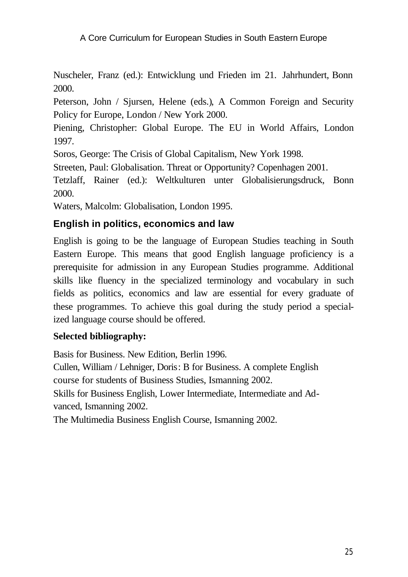Nuscheler, Franz (ed.): Entwicklung und Frieden im 21. Jahrhundert, Bonn 2000.

Peterson, John / Sjursen, Helene (eds.), A Common Foreign and Security Policy for Europe, London / New York 2000.

Piening, Christopher: Global Europe. The EU in World Affairs, London 1997.

Soros, George: The Crisis of Global Capitalism, New York 1998.

Streeten, Paul: Globalisation. Threat or Opportunity? Copenhagen 2001.

Tetzlaff, Rainer (ed.): Weltkulturen unter Globalisierungsdruck, Bonn 2000.

Waters, Malcolm: Globalisation, London 1995.

#### **English in politics, economics and law**

English is going to be the language of European Studies teaching in South Eastern Europe. This means that good English language proficiency is a prerequisite for admission in any European Studies programme. Additional skills like fluency in the specialized terminology and vocabulary in such fields as politics, economics and law are essential for every graduate of these programmes. To achieve this goal during the study period a specialized language course should be offered.

#### **Selected bibliography:**

Basis for Business. New Edition, Berlin 1996. Cullen, William / Lehniger, Doris: B for Business. A complete English course for students of Business Studies, Ismanning 2002. Skills for Business English, Lower Intermediate, Intermediate and Advanced, Ismanning 2002.

The Multimedia Business English Course, Ismanning 2002.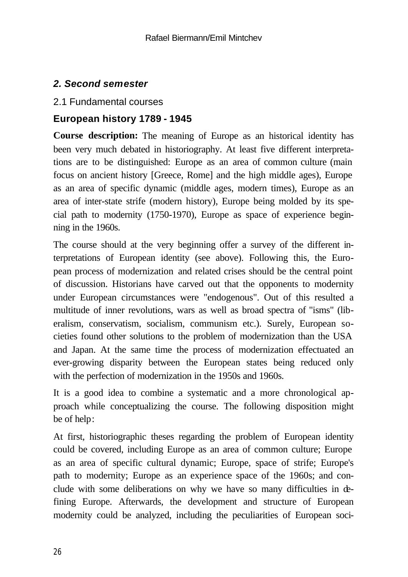# *2. Second semester*

#### 2.1 Fundamental courses

#### **European history 1789 - 1945**

**Course description:** The meaning of Europe as an historical identity has been very much debated in historiography. At least five different interpretations are to be distinguished: Europe as an area of common culture (main focus on ancient history [Greece, Rome] and the high middle ages), Europe as an area of specific dynamic (middle ages, modern times), Europe as an area of inter-state strife (modern history), Europe being molded by its special path to modernity (1750-1970), Europe as space of experience beginning in the 1960s.

The course should at the very beginning offer a survey of the different interpretations of European identity (see above). Following this, the European process of modernization and related crises should be the central point of discussion. Historians have carved out that the opponents to modernity under European circumstances were "endogenous". Out of this resulted a multitude of inner revolutions, wars as well as broad spectra of "isms" (liberalism, conservatism, socialism, communism etc.). Surely, European societies found other solutions to the problem of modernization than the USA and Japan. At the same time the process of modernization effectuated an ever-growing disparity between the European states being reduced only with the perfection of modernization in the 1950s and 1960s.

It is a good idea to combine a systematic and a more chronological approach while conceptualizing the course. The following disposition might be of help:

At first, historiographic theses regarding the problem of European identity could be covered, including Europe as an area of common culture; Europe as an area of specific cultural dynamic; Europe, space of strife; Europe's path to modernity; Europe as an experience space of the 1960s; and conclude with some deliberations on why we have so many difficulties in defining Europe. Afterwards, the development and structure of European modernity could be analyzed, including the peculiarities of European soci-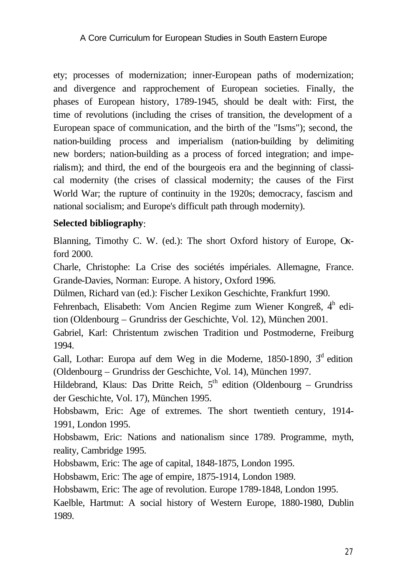ety; processes of modernization; inner-European paths of modernization; and divergence and rapprochement of European societies. Finally, the phases of European history, 1789-1945, should be dealt with: First, the time of revolutions (including the crises of transition, the development of a European space of communication, and the birth of the "Isms"); second, the nation-building process and imperialism (nation-building by delimiting new borders; nation-building as a process of forced integration; and imperialism); and third, the end of the bourgeois era and the beginning of classical modernity (the crises of classical modernity; the causes of the First World War; the rupture of continuity in the 1920s; democracy, fascism and national socialism; and Europe's difficult path through modernity).

#### **Selected bibliography**:

Blanning, Timothy C. W. (ed.): The short Oxford history of Europe, Oxford 2000.

Charle, Christophe: La Crise des sociétés impériales. Allemagne, France. Grande-Davies, Norman: Europe. A history, Oxford 1996.

Dülmen, Richard van (ed.): Fischer Lexikon Geschichte, Frankfurt 1990.

Fehrenbach, Elisabeth: Vom Ancien Regime zum Wiener Kongreß,  $4<sup>h</sup>$  edition (Oldenbourg – Grundriss der Geschichte, Vol. 12), München 2001.

Gabriel, Karl: Christentum zwischen Tradition und Postmoderne, Freiburg 1994.

Gall, Lothar: Europa auf dem Weg in die Moderne, 1850-1890,  $3<sup>d</sup>$  edition (Oldenbourg – Grundriss der Geschichte, Vol. 14), München 1997.

Hildebrand, Klaus: Das Dritte Reich,  $5<sup>th</sup>$  edition (Oldenbourg – Grundriss der Geschichte, Vol. 17), München 1995.

Hobsbawm, Eric: Age of extremes. The short twentieth century, 1914- 1991, London 1995.

Hobsbawm, Eric: Nations and nationalism since 1789. Programme, myth, reality, Cambridge 1995.

Hobsbawm, Eric: The age of capital, 1848-1875, London 1995.

Hobsbawm, Eric: The age of empire, 1875-1914, London 1989.

Hobsbawm, Eric: The age of revolution. Europe 1789-1848, London 1995.

Kaelble, Hartmut: A social history of Western Europe, 1880-1980, Dublin 1989.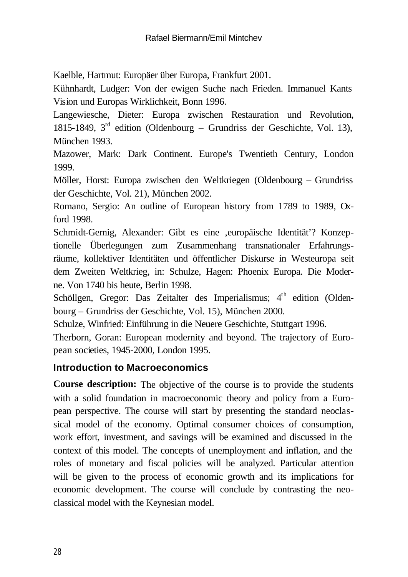Kaelble, Hartmut: Europäer über Europa, Frankfurt 2001.

Kühnhardt, Ludger: Von der ewigen Suche nach Frieden. Immanuel Kants Vision und Europas Wirklichkeit, Bonn 1996.

Langewiesche, Dieter: Europa zwischen Restauration und Revolution, 1815-1849, 3 rd edition (Oldenbourg – Grundriss der Geschichte, Vol. 13), München 1993.

Mazower, Mark: Dark Continent. Europe's Twentieth Century, London 1999.

Möller, Horst: Europa zwischen den Weltkriegen (Oldenbourg – Grundriss der Geschichte, Vol. 21), München 2002.

Romano, Sergio: An outline of European history from 1789 to 1989, Oxford 1998.

Schmidt-Gernig, Alexander: Gibt es eine ,europäische Identität'? Konzeptionelle Überlegungen zum Zusammenhang transnationaler Erfahrungsräume, kollektiver Identitäten und öffentlicher Diskurse in Westeuropa seit dem Zweiten Weltkrieg, in: Schulze, Hagen: Phoenix Europa. Die Moderne. Von 1740 bis heute, Berlin 1998.

Schöllgen, Gregor: Das Zeitalter des Imperialismus; 4<sup>th</sup> edition (Oldenbourg – Grundriss der Geschichte, Vol. 15), München 2000.

Schulze, Winfried: Einführung in die Neuere Geschichte, Stuttgart 1996.

Therborn, Goran: European modernity and beyond. The trajectory of European societies, 1945-2000, London 1995.

#### **Introduction to Macroeconomics**

**Course description:** The objective of the course is to provide the students with a solid foundation in macroeconomic theory and policy from a European perspective. The course will start by presenting the standard neoclassical model of the economy. Optimal consumer choices of consumption, work effort, investment, and savings will be examined and discussed in the context of this model. The concepts of unemployment and inflation, and the roles of monetary and fiscal policies will be analyzed. Particular attention will be given to the process of economic growth and its implications for economic development. The course will conclude by contrasting the neoclassical model with the Keynesian model.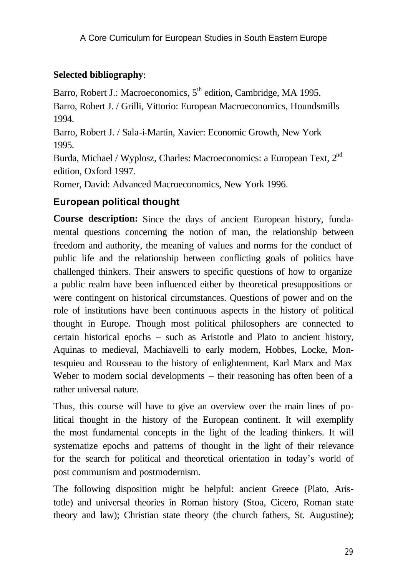# **Selected bibliography**:

Barro, Robert J.: Macroeconomics, 5<sup>th</sup> edition, Cambridge, MA 1995.

Barro, Robert J. / Grilli, Vittorio: European Macroeconomics, Houndsmills 1994.

Barro, Robert J. / Sala-i-Martin, Xavier: Economic Growth, New York 1995.

Burda, Michael / Wyplosz, Charles: Macroeconomics: a European Text, 2<sup>nd</sup> edition, Oxford 1997.

Romer, David: Advanced Macroeconomics, New York 1996.

# **European political thought**

**Course description:** Since the days of ancient European history, fundamental questions concerning the notion of man, the relationship between freedom and authority, the meaning of values and norms for the conduct of public life and the relationship between conflicting goals of politics have challenged thinkers. Their answers to specific questions of how to organize a public realm have been influenced either by theoretical presuppositions or were contingent on historical circumstances. Questions of power and on the role of institutions have been continuous aspects in the history of political thought in Europe. Though most political philosophers are connected to certain historical epochs – such as Aristotle and Plato to ancient history, Aquinas to medieval, Machiavelli to early modern, Hobbes, Locke, Montesquieu and Rousseau to the history of enlightenment, Karl Marx and Max Weber to modern social developments – their reasoning has often been of a rather universal nature.

Thus, this course will have to give an overview over the main lines of political thought in the history of the European continent. It will exemplify the most fundamental concepts in the light of the leading thinkers. It will systematize epochs and patterns of thought in the light of their relevance for the search for political and theoretical orientation in today's world of post communism and postmodernism.

The following disposition might be helpful: ancient Greece (Plato, Aristotle) and universal theories in Roman history (Stoa, Cicero, Roman state theory and law); Christian state theory (the church fathers, St. Augustine);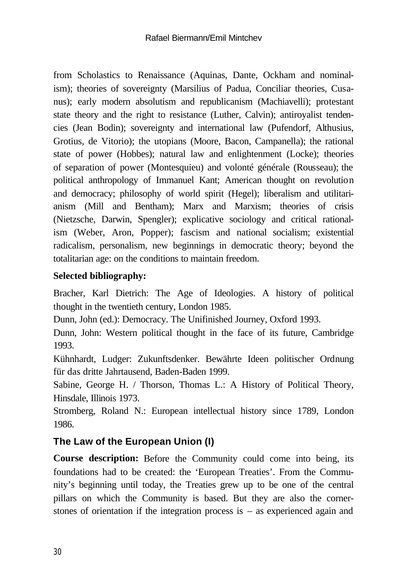from Scholastics to Renaissance (Aquinas, Dante, Ockham and nominalism); theories of sovereignty (Marsilius of Padua, Conciliar theories, Cusanus); early modern absolutism and republicanism (Machiavelli); protestant state theory and the right to resistance (Luther, Calvin); antiroyalist tendencies (Jean Bodin); sovereignty and international law (Pufendorf, Althusius, Grotius, de Vitorio); the utopians (Moore, Bacon, Campanella); the rational state of power (Hobbes); natural law and enlightenment (Locke); theories of separation of power (Montesquieu) and volonté générale (Rousseau); the political anthropology of Immanuel Kant; American thought on revolution and democracy; philosophy of world spirit (Hegel); liberalism and utilitarianism (Mill and Bentham); Marx and Marxism; theories of crisis (Nietzsche, Darwin, Spengler); explicative sociology and critical rationalism (Weber, Aron, Popper); fascism and national socialism; existential radicalism, personalism, new beginnings in democratic theory; beyond the totalitarian age: on the conditions to maintain freedom.

# **Selected bibliography:**

Bracher, Karl Dietrich: The Age of Ideologies. A history of political thought in the twentieth century, London 1985.

Dunn, John (ed.): Democracy. The Unifinished Journey, Oxford 1993.

Dunn, John: Western political thought in the face of its future, Cambridge 1993.

Kühnhardt, Ludger: Zukunftsdenker. Bewährte Ideen politischer Ordnung für das dritte Jahrtausend, Baden-Baden 1999.

Sabine, George H. / Thorson, Thomas L.: A History of Political Theory, Hinsdale, Illinois 1973.

Stromberg, Roland N.: European intellectual history since 1789, London 1986.

# **The Law of the European Union (I)**

**Course description:** Before the Community could come into being, its foundations had to be created: the 'European Treaties'. From the Community's beginning until today, the Treaties grew up to be one of the central pillars on which the Community is based. But they are also the cornerstones of orientation if the integration process is – as experienced again and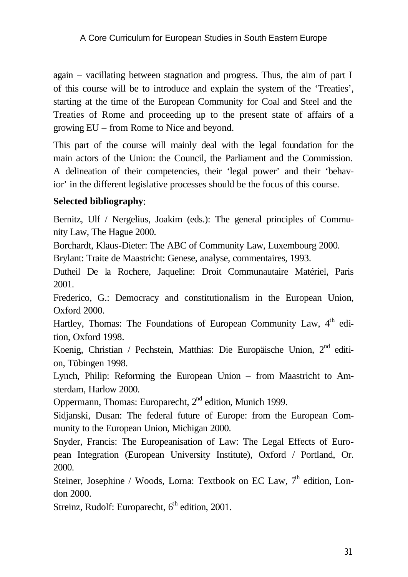again – vacillating between stagnation and progress. Thus, the aim of part I of this course will be to introduce and explain the system of the 'Treaties', starting at the time of the European Community for Coal and Steel and the Treaties of Rome and proceeding up to the present state of affairs of a growing EU – from Rome to Nice and beyond.

This part of the course will mainly deal with the legal foundation for the main actors of the Union: the Council, the Parliament and the Commission. A delineation of their competencies, their 'legal power' and their 'behavior' in the different legislative processes should be the focus of this course.

#### **Selected bibliography**:

Bernitz, Ulf / Nergelius, Joakim (eds.): The general principles of Community Law, The Hague 2000.

Borchardt, Klaus-Dieter: The ABC of Community Law, Luxembourg 2000.

Brylant: Traite de Maastricht: Genese, analyse, commentaires, 1993.

Dutheil De la Rochere, Jaqueline: Droit Communautaire Matériel, Paris 2001.

Frederico, G.: Democracy and constitutionalism in the European Union, Oxford 2000.

Hartley, Thomas: The Foundations of European Community Law, 4<sup>th</sup> edition, Oxford 1998.

Koenig, Christian / Pechstein, Matthias: Die Europäische Union, 2<sup>nd</sup> edition, Tübingen 1998.

Lynch, Philip: Reforming the European Union – from Maastricht to Amsterdam, Harlow 2000.

Oppermann, Thomas: Europarecht, 2<sup>nd</sup> edition, Munich 1999.

Sidjanski, Dusan: The federal future of Europe: from the European Community to the European Union, Michigan 2000.

Snyder, Francis: The Europeanisation of Law: The Legal Effects of European Integration (European University Institute), Oxford / Portland, Or. 2000.

Steiner, Josephine / Woods, Lorna: Textbook on EC Law,  $7<sup>h</sup>$  edition, London 2000.

Streinz, Rudolf: Europarecht,  $6<sup>th</sup>$  edition, 2001.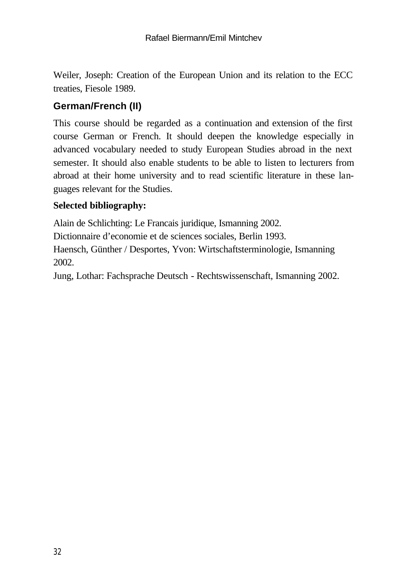Weiler, Joseph: Creation of the European Union and its relation to the ECC treaties, Fiesole 1989.

# **German/French (II)**

This course should be regarded as a continuation and extension of the first course German or French. It should deepen the knowledge especially in advanced vocabulary needed to study European Studies abroad in the next semester. It should also enable students to be able to listen to lecturers from abroad at their home university and to read scientific literature in these languages relevant for the Studies.

#### **Selected bibliography:**

Alain de Schlichting: Le Francais juridique, Ismanning 2002.

Dictionnaire d'economie et de sciences sociales, Berlin 1993.

Haensch, Günther / Desportes, Yvon: Wirtschaftsterminologie, Ismanning 2002.

Jung, Lothar: Fachsprache Deutsch - Rechtswissenschaft, Ismanning 2002.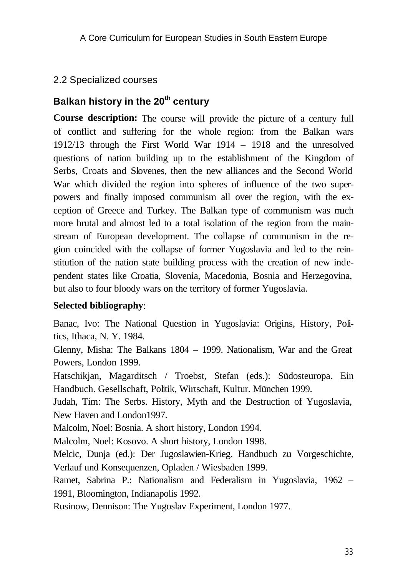# 2.2 Specialized courses

# **Balkan history in the 20th century**

**Course description:** The course will provide the picture of a century full of conflict and suffering for the whole region: from the Balkan wars 1912/13 through the First World War 1914 – 1918 and the unresolved questions of nation building up to the establishment of the Kingdom of Serbs, Croats and Slovenes, then the new alliances and the Second World War which divided the region into spheres of influence of the two superpowers and finally imposed communism all over the region, with the exception of Greece and Turkey. The Balkan type of communism was much more brutal and almost led to a total isolation of the region from the mainstream of European development. The collapse of communism in the region coincided with the collapse of former Yugoslavia and led to the reinstitution of the nation state building process with the creation of new independent states like Croatia, Slovenia, Macedonia, Bosnia and Herzegovina, but also to four bloody wars on the territory of former Yugoslavia.

#### **Selected bibliography**:

Banac, Ivo: The National Question in Yugoslavia: Origins, History, Politics, Ithaca, N. Y. 1984.

Glenny, Misha: The Balkans 1804 – 1999. Nationalism, War and the Great Powers, London 1999.

Hatschikjan, Magarditsch / Troebst, Stefan (eds.): Südosteuropa. Ein Handbuch. Gesellschaft, Politik, Wirtschaft, Kultur. München 1999.

Judah, Tim: The Serbs. History, Myth and the Destruction of Yugoslavia, New Haven and London1997.

Malcolm, Noel: Bosnia. A short history, London 1994.

Malcolm, Noel: Kosovo. A short history, London 1998.

Melcic, Dunja (ed.): Der Jugoslawien-Krieg. Handbuch zu Vorgeschichte, Verlauf und Konsequenzen, Opladen / Wiesbaden 1999.

Ramet, Sabrina P.: Nationalism and Federalism in Yugoslavia, 1962 – 1991, Bloomington, Indianapolis 1992.

Rusinow, Dennison: The Yugoslav Experiment, London 1977.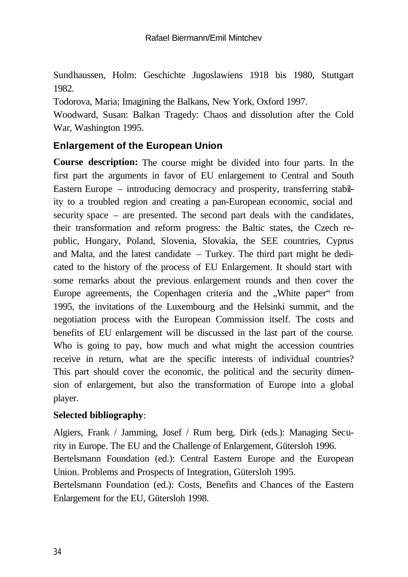Sundhaussen, Holm: Geschichte Jugoslawiens 1918 bis 1980, Stuttgart 1982.

Todorova, Maria: Imagining the Balkans, New York, Oxford 1997.

Woodward, Susan: Balkan Tragedy: Chaos and dissolution after the Cold War, Washington 1995.

# **Enlargement of the European Union**

**Course description:** The course might be divided into four parts. In the first part the arguments in favor of EU enlargement to Central and South Eastern Europe – introducing democracy and prosperity, transferring stability to a troubled region and creating a pan-European economic, social and security space – are presented. The second part deals with the candidates, their transformation and reform progress: the Baltic states, the Czech republic, Hungary, Poland, Slovenia, Slovakia, the SEE countries, Cyprus and Malta, and the latest candidate – Turkey. The third part might be dedicated to the history of the process of EU Enlargement. It should start with some remarks about the previous enlargement rounds and then cover the Europe agreements, the Copenhagen criteria and the "White paper" from 1995, the invitations of the Luxembourg and the Helsinki summit, and the negotiation process with the European Commission itself. The costs and benefits of EU enlargement will be discussed in the last part of the course. Who is going to pay, how much and what might the accession countries receive in return, what are the specific interests of individual countries? This part should cover the economic, the political and the security dimension of enlargement, but also the transformation of Europe into a global player.

#### **Selected bibliography**:

Algiers, Frank / Jamming, Josef / Rum berg, Dirk (eds.): Managing Security in Europe. The EU and the Challenge of Enlargement, Gütersloh 1996. Bertelsmann Foundation (ed.): Central Eastern Europe and the European Union. Problems and Prospects of Integration, Gütersloh 1995. Bertelsmann Foundation (ed.): Costs, Benefits and Chances of the Eastern Enlargement for the EU, Gütersloh 1998.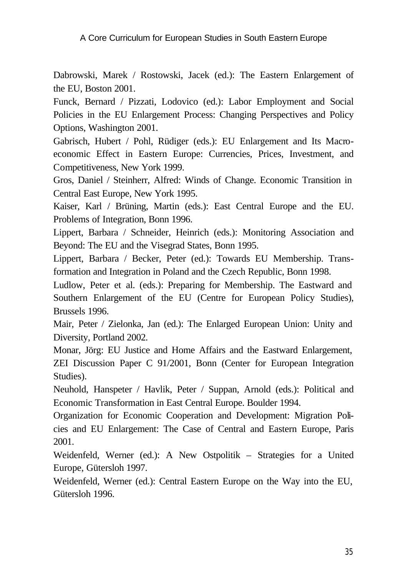Dabrowski, Marek / Rostowski, Jacek (ed.): The Eastern Enlargement of the EU, Boston 2001.

Funck, Bernard / Pizzati, Lodovico (ed.): Labor Employment and Social Policies in the EU Enlargement Process: Changing Perspectives and Policy Options, Washington 2001.

Gabrisch, Hubert / Pohl, Rüdiger (eds.): EU Enlargement and Its Macroeconomic Effect in Eastern Europe: Currencies, Prices, Investment, and Competitiveness, New York 1999.

Gros, Daniel / Steinherr, Alfred: Winds of Change. Economic Transition in Central East Europe, New York 1995.

Kaiser, Karl / Brüning, Martin (eds.): East Central Europe and the EU. Problems of Integration, Bonn 1996.

Lippert, Barbara / Schneider, Heinrich (eds.): Monitoring Association and Beyond: The EU and the Visegrad States, Bonn 1995.

Lippert, Barbara / Becker, Peter (ed.): Towards EU Membership. Transformation and Integration in Poland and the Czech Republic, Bonn 1998.

Ludlow, Peter et al. (eds.): Preparing for Membership. The Eastward and Southern Enlargement of the EU (Centre for European Policy Studies), Brussels 1996.

Mair, Peter / Zielonka, Jan (ed.): The Enlarged European Union: Unity and Diversity, Portland 2002.

Monar, Jörg: EU Justice and Home Affairs and the Eastward Enlargement, ZEI Discussion Paper C 91/2001, Bonn (Center for European Integration Studies).

Neuhold, Hanspeter / Havlik, Peter / Suppan, Arnold (eds.): Political and Economic Transformation in East Central Europe. Boulder 1994.

Organization for Economic Cooperation and Development: Migration Policies and EU Enlargement: The Case of Central and Eastern Europe, Paris 2001.

Weidenfeld, Werner (ed.): A New Ostpolitik – Strategies for a United Europe, Gütersloh 1997.

Weidenfeld, Werner (ed.): Central Eastern Europe on the Way into the EU, Gütersloh 1996.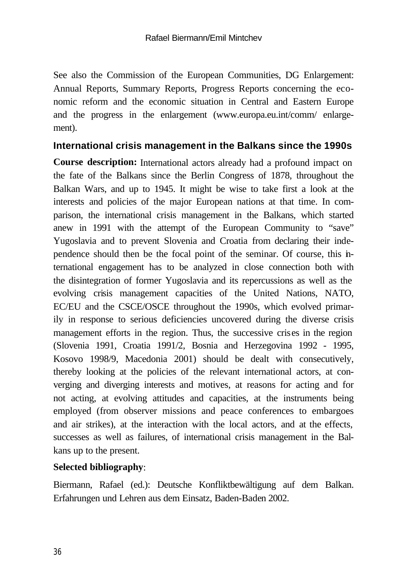See also the Commission of the European Communities, DG Enlargement: Annual Reports, Summary Reports, Progress Reports concerning the economic reform and the economic situation in Central and Eastern Europe and the progress in the enlargement (www.europa.eu.int/comm/ enlargement).

#### **International crisis management in the Balkans since the 1990s**

**Course description:** International actors already had a profound impact on the fate of the Balkans since the Berlin Congress of 1878, throughout the Balkan Wars, and up to 1945. It might be wise to take first a look at the interests and policies of the major European nations at that time. In comparison, the international crisis management in the Balkans, which started anew in 1991 with the attempt of the European Community to "save" Yugoslavia and to prevent Slovenia and Croatia from declaring their independence should then be the focal point of the seminar. Of course, this international engagement has to be analyzed in close connection both with the disintegration of former Yugoslavia and its repercussions as well as the evolving crisis management capacities of the United Nations, NATO, EC/EU and the CSCE/OSCE throughout the 1990s, which evolved primarily in response to serious deficiencies uncovered during the diverse crisis management efforts in the region. Thus, the successive crises in the region (Slovenia 1991, Croatia 1991/2, Bosnia and Herzegovina 1992 - 1995, Kosovo 1998/9, Macedonia 2001) should be dealt with consecutively, thereby looking at the policies of the relevant international actors, at converging and diverging interests and motives, at reasons for acting and for not acting, at evolving attitudes and capacities, at the instruments being employed (from observer missions and peace conferences to embargoes and air strikes), at the interaction with the local actors, and at the effects, successes as well as failures, of international crisis management in the Balkans up to the present.

#### **Selected bibliography**:

Biermann, Rafael (ed.): Deutsche Konfliktbewältigung auf dem Balkan. Erfahrungen und Lehren aus dem Einsatz, Baden-Baden 2002.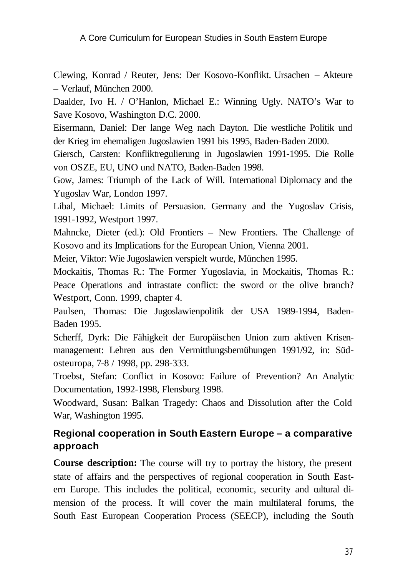Clewing, Konrad / Reuter, Jens: Der Kosovo-Konflikt. Ursachen – Akteure – Verlauf, München 2000.

Daalder, Ivo H. / O'Hanlon, Michael E.: Winning Ugly. NATO's War to Save Kosovo, Washington D.C. 2000.

Eisermann, Daniel: Der lange Weg nach Dayton. Die westliche Politik und der Krieg im ehemaligen Jugoslawien 1991 bis 1995, Baden-Baden 2000.

Giersch, Carsten: Konfliktregulierung in Jugoslawien 1991-1995. Die Rolle von OSZE, EU, UNO und NATO, Baden-Baden 1998.

Gow, James: Triumph of the Lack of Will. International Diplomacy and the Yugoslav War, London 1997.

Libal, Michael: Limits of Persuasion. Germany and the Yugoslav Crisis, 1991-1992, Westport 1997.

Mahncke, Dieter (ed.): Old Frontiers – New Frontiers. The Challenge of Kosovo and its Implications for the European Union, Vienna 2001.

Meier, Viktor: Wie Jugoslawien verspielt wurde, München 1995.

Mockaitis, Thomas R.: The Former Yugoslavia, in Mockaitis, Thomas R.: Peace Operations and intrastate conflict: the sword or the olive branch? Westport, Conn. 1999, chapter 4.

Paulsen, Thomas: Die Jugoslawienpolitik der USA 1989-1994, Baden-Baden 1995.

Scherff, Dyrk: Die Fähigkeit der Europäischen Union zum aktiven Krisenmanagement: Lehren aus den Vermittlungsbemühungen 1991/92, in: Südosteuropa, 7-8 / 1998, pp. 298-333.

Troebst, Stefan: Conflict in Kosovo: Failure of Prevention? An Analytic Documentation, 1992-1998, Flensburg 1998.

Woodward, Susan: Balkan Tragedy: Chaos and Dissolution after the Cold War, Washington 1995.

# **Regional cooperation in South Eastern Europe – a comparative approach**

**Course description:** The course will try to portray the history, the present state of affairs and the perspectives of regional cooperation in South Eastern Europe. This includes the political, economic, security and cultural dimension of the process. It will cover the main multilateral forums, the South East European Cooperation Process (SEECP), including the South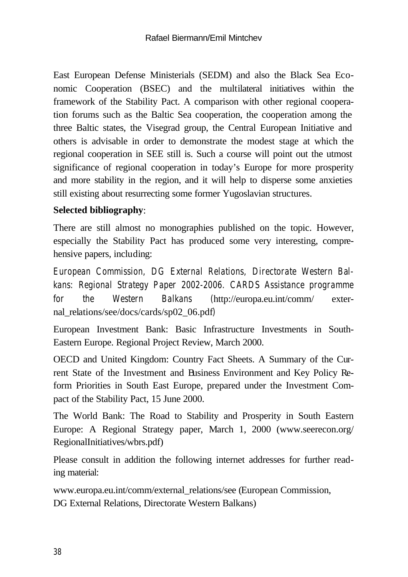East European Defense Ministerials (SEDM) and also the Black Sea Economic Cooperation (BSEC) and the multilateral initiatives within the framework of the Stability Pact. A comparison with other regional cooperation forums such as the Baltic Sea cooperation, the cooperation among the three Baltic states, the Visegrad group, the Central European Initiative and others is advisable in order to demonstrate the modest stage at which the regional cooperation in SEE still is. Such a course will point out the utmost significance of regional cooperation in today's Europe for more prosperity and more stability in the region, and it will help to disperse some anxieties still existing about resurrecting some former Yugoslavian structures.

#### **Selected bibliography**:

There are still almost no monographies published on the topic. However, especially the Stability Pact has produced some very interesting, comprehensive papers, including:

*European Commission, DG External Relations, Directorate Western Balkans: Regional Strategy Paper 2002-2006. CARDS Assistance programme for the Western Balkans (*http://europa.eu.int/comm/ external\_relations/see/docs/cards/sp02\_06.pdf*)*

European Investment Bank: Basic Infrastructure Investments in South-Eastern Europe. Regional Project Review, March 2000.

OECD and United Kingdom: Country Fact Sheets. A Summary of the Current State of the Investment and Business Environment and Key Policy Reform Priorities in South East Europe, prepared under the Investment Compact of the Stability Pact, 15 June 2000.

The World Bank: The Road to Stability and Prosperity in South Eastern Europe: A Regional Strategy paper, March 1, 2000 (www.seerecon.org/ RegionalInitiatives/wbrs.pdf)

Please consult in addition the following internet addresses for further reading material:

www.europa.eu.int/comm/external\_relations/see (European Commission, DG External Relations, Directorate Western Balkans)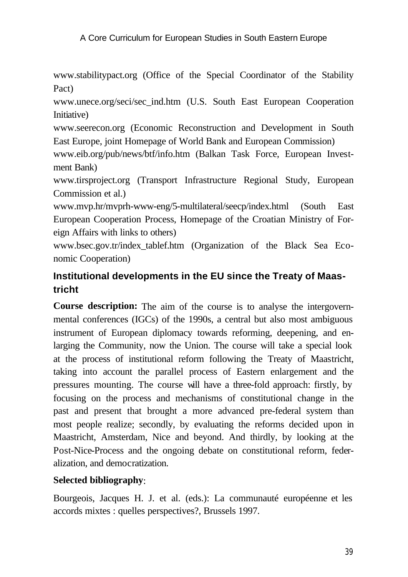www.stabilitypact.org (Office of the Special Coordinator of the Stability Pact)

www.unece.org/seci/sec\_ind.htm (U.S. South East European Cooperation Initiative)

www.seerecon.org (Economic Reconstruction and Development in South East Europe, joint Homepage of World Bank and European Commission)

www.eib.org/pub/news/btf/info.htm (Balkan Task Force, European Investment Bank)

www.tirsproject.org (Transport Infrastructure Regional Study, European Commission et al.)

www.mvp.hr/mvprh-www-eng/5-multilateral/seecp/index.html (South East European Cooperation Process, Homepage of the Croatian Ministry of Foreign Affairs with links to others)

www.bsec.gov.tr/index\_tablef.htm (Organization of the Black Sea Economic Cooperation)

# **Institutional developments in the EU since the Treaty of Maastricht**

**Course description:** The aim of the course is to analyse the intergovernmental conferences (IGCs) of the 1990s, a central but also most ambiguous instrument of European diplomacy towards reforming, deepening, and enlarging the Community, now the Union. The course will take a special look at the process of institutional reform following the Treaty of Maastricht, taking into account the parallel process of Eastern enlargement and the pressures mounting. The course will have a three-fold approach: firstly, by focusing on the process and mechanisms of constitutional change in the past and present that brought a more advanced pre-federal system than most people realize; secondly, by evaluating the reforms decided upon in Maastricht, Amsterdam, Nice and beyond. And thirdly, by looking at the Post-Nice-Process and the ongoing debate on constitutional reform, federalization, and democratization.

# **Selected bibliography**:

Bourgeois, Jacques H. J. et al. (eds.): La communauté européenne et les accords mixtes : quelles perspectives?, Brussels 1997.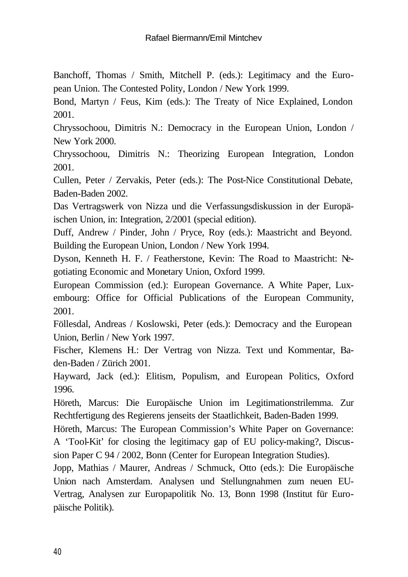Banchoff, Thomas / Smith, Mitchell P. (eds.): Legitimacy and the European Union. The Contested Polity, London / New York 1999.

Bond, Martyn / Feus, Kim (eds.): The Treaty of Nice Explained, London 2001.

Chryssochoou, Dimitris N.: Democracy in the European Union, London / New York 2000.

Chryssochoou, Dimitris N.: Theorizing European Integration, London 2001.

Cullen, Peter / Zervakis, Peter (eds.): The Post-Nice Constitutional Debate, Baden-Baden 2002.

Das Vertragswerk von Nizza und die Verfassungsdiskussion in der Europäischen Union, in: Integration, 2/2001 (special edition).

Duff, Andrew / Pinder, John / Pryce, Roy (eds.): Maastricht and Beyond. Building the European Union, London / New York 1994.

Dyson, Kenneth H. F. / Featherstone, Kevin: The Road to Maastricht: Negotiating Economic and Monetary Union, Oxford 1999.

European Commission (ed.): European Governance. A White Paper, Luxembourg: Office for Official Publications of the European Community, 2001.

Föllesdal, Andreas / Koslowski, Peter (eds.): Democracy and the European Union, Berlin / New York 1997.

Fischer, Klemens H.: Der Vertrag von Nizza. Text und Kommentar, Baden-Baden / Zürich 2001.

Hayward, Jack (ed.): Elitism, Populism, and European Politics, Oxford 1996.

Höreth, Marcus: Die Europäische Union im Legitimationstrilemma. Zur Rechtfertigung des Regierens jenseits der Staatlichkeit, Baden-Baden 1999.

Höreth, Marcus: The European Commission's White Paper on Governance: A 'Tool-Kit' for closing the legitimacy gap of EU policy-making?, Discussion Paper C 94 / 2002, Bonn (Center for European Integration Studies).

Jopp, Mathias / Maurer, Andreas / Schmuck, Otto (eds.): Die Europäische Union nach Amsterdam. Analysen und Stellungnahmen zum neuen EU-Vertrag, Analysen zur Europapolitik No. 13, Bonn 1998 (Institut für Europäische Politik).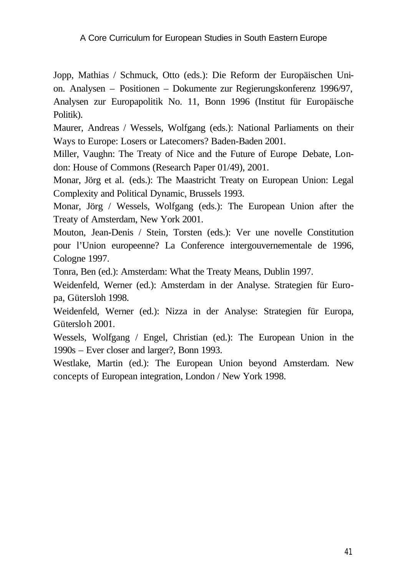Jopp, Mathias / Schmuck, Otto (eds.): Die Reform der Europäischen Union. Analysen – Positionen – Dokumente zur Regierungskonferenz 1996/97, Analysen zur Europapolitik No. 11, Bonn 1996 (Institut für Europäische Politik).

Maurer, Andreas / Wessels, Wolfgang (eds.): National Parliaments on their Ways to Europe: Losers or Latecomers? Baden-Baden 2001.

Miller, Vaughn: The Treaty of Nice and the Future of Europe Debate, London: House of Commons (Research Paper 01/49), 2001.

Monar, Jörg et al. (eds.): The Maastricht Treaty on European Union: Legal Complexity and Political Dynamic, Brussels 1993.

Monar, Jörg / Wessels, Wolfgang (eds.): The European Union after the Treaty of Amsterdam, New York 2001.

Mouton, Jean-Denis / Stein, Torsten (eds.): Ver une novelle Constitution pour l'Union europeenne? La Conference intergouvernementale de 1996, Cologne 1997.

Tonra, Ben (ed.): Amsterdam: What the Treaty Means, Dublin 1997.

Weidenfeld, Werner (ed.): Amsterdam in der Analyse. Strategien für Europa, Gütersloh 1998.

Weidenfeld, Werner (ed.): Nizza in der Analyse: Strategien für Europa, Gütersloh 2001.

Wessels, Wolfgang / Engel, Christian (ed.): The European Union in the 1990s – Ever closer and larger?, Bonn 1993.

Westlake, Martin (ed.): The European Union beyond Amsterdam. New concepts of European integration, London / New York 1998.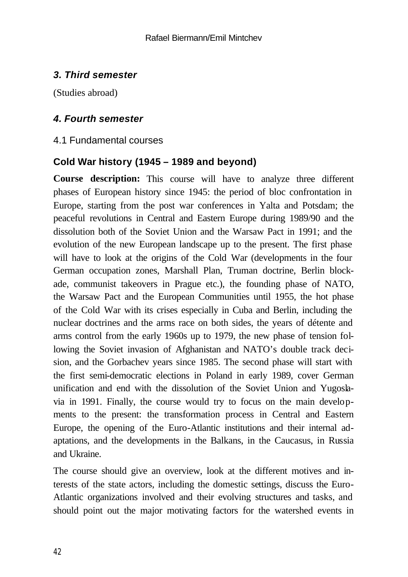# *3. Third semester*

(Studies abroad)

#### *4. Fourth semester*

#### 4.1 Fundamental courses

#### **Cold War history (1945 – 1989 and beyond)**

**Course description:** This course will have to analyze three different phases of European history since 1945: the period of bloc confrontation in Europe, starting from the post war conferences in Yalta and Potsdam; the peaceful revolutions in Central and Eastern Europe during 1989/90 and the dissolution both of the Soviet Union and the Warsaw Pact in 1991; and the evolution of the new European landscape up to the present. The first phase will have to look at the origins of the Cold War (developments in the four German occupation zones, Marshall Plan, Truman doctrine, Berlin blockade, communist takeovers in Prague etc.), the founding phase of NATO, the Warsaw Pact and the European Communities until 1955, the hot phase of the Cold War with its crises especially in Cuba and Berlin, including the nuclear doctrines and the arms race on both sides, the years of détente and arms control from the early 1960s up to 1979, the new phase of tension following the Soviet invasion of Afghanistan and NATO's double track decision, and the Gorbachev years since 1985. The second phase will start with the first semi-democratic elections in Poland in early 1989, cover German unification and end with the dissolution of the Soviet Union and Yugoslavia in 1991. Finally, the course would try to focus on the main developments to the present: the transformation process in Central and Eastern Europe, the opening of the Euro-Atlantic institutions and their internal adaptations, and the developments in the Balkans, in the Caucasus, in Russia and Ukraine.

The course should give an overview, look at the different motives and interests of the state actors, including the domestic settings, discuss the Euro-Atlantic organizations involved and their evolving structures and tasks, and should point out the major motivating factors for the watershed events in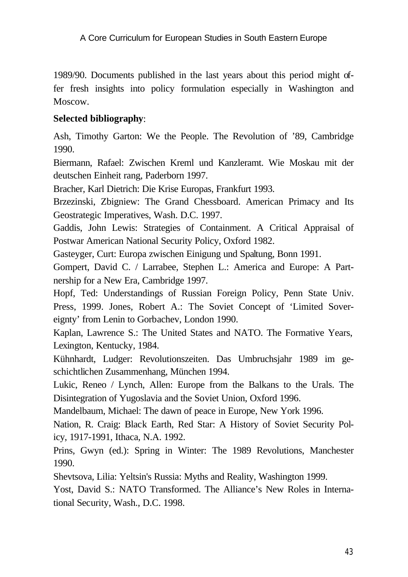1989/90. Documents published in the last years about this period might offer fresh insights into policy formulation especially in Washington and Moscow.

#### **Selected bibliography**:

Ash, Timothy Garton: We the People. The Revolution of '89, Cambridge 1990.

Biermann, Rafael: Zwischen Kreml und Kanzleramt. Wie Moskau mit der deutschen Einheit rang, Paderborn 1997.

Bracher, Karl Dietrich: Die Krise Europas, Frankfurt 1993.

Brzezinski, Zbigniew: The Grand Chessboard. American Primacy and Its Geostrategic Imperatives, Wash. D.C. 1997.

Gaddis, John Lewis: Strategies of Containment. A Critical Appraisal of Postwar American National Security Policy, Oxford 1982.

Gasteyger, Curt: Europa zwischen Einigung und Spaltung, Bonn 1991.

Gompert, David C. / Larrabee, Stephen L.: America and Europe: A Partnership for a New Era, Cambridge 1997.

Hopf, Ted: Understandings of Russian Foreign Policy, Penn State Univ. Press, 1999. Jones, Robert A.: The Soviet Concept of 'Limited Sovereignty' from Lenin to Gorbachev, London 1990.

Kaplan, Lawrence S.: The United States and NATO. The Formative Years, Lexington, Kentucky, 1984.

Kühnhardt, Ludger: Revolutionszeiten. Das Umbruchsjahr 1989 im geschichtlichen Zusammenhang, München 1994.

Lukic, Reneo / Lynch, Allen: Europe from the Balkans to the Urals. The Disintegration of Yugoslavia and the Soviet Union, Oxford 1996.

Mandelbaum, Michael: The dawn of peace in Europe, New York 1996.

Nation, R. Craig: Black Earth, Red Star: A History of Soviet Security Policy, 1917-1991, Ithaca, N.A. 1992.

Prins, Gwyn (ed.): Spring in Winter: The 1989 Revolutions, Manchester 1990.

Shevtsova, Lilia: Yeltsin's Russia: Myths and Reality, Washington 1999.

Yost, David S.: NATO Transformed. The Alliance's New Roles in International Security, Wash., D.C. 1998.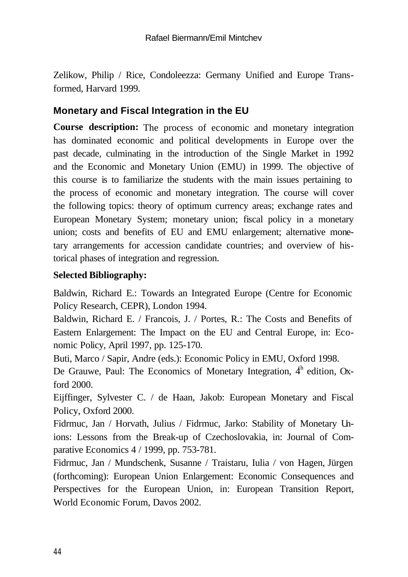Zelikow, Philip / Rice, Condoleezza: Germany Unified and Europe Transformed, Harvard 1999.

# **Monetary and Fiscal Integration in the EU**

**Course description:** The process of economic and monetary integration has dominated economic and political developments in Europe over the past decade, culminating in the introduction of the Single Market in 1992 and the Economic and Monetary Union (EMU) in 1999. The objective of this course is to familiarize the students with the main issues pertaining to the process of economic and monetary integration. The course will cover the following topics: theory of optimum currency areas; exchange rates and European Monetary System; monetary union; fiscal policy in a monetary union; costs and benefits of EU and EMU enlargement; alternative monetary arrangements for accession candidate countries; and overview of historical phases of integration and regression.

#### **Selected Bibliography:**

Baldwin, Richard E.: Towards an Integrated Europe (Centre for Economic Policy Research, CEPR), London 1994.

Baldwin, Richard E. / Francois, J. / Portes, R.: The Costs and Benefits of Eastern Enlargement: The Impact on the EU and Central Europe, in: Economic Policy, April 1997, pp. 125-170.

Buti, Marco / Sapir, Andre (eds.): Economic Policy in EMU, Oxford 1998.

De Grauwe, Paul: The Economics of Monetary Integration,  $4<sup>h</sup>$  edition, Oxford 2000.

Eijffinger, Sylvester C. / de Haan, Jakob: European Monetary and Fiscal Policy, Oxford 2000.

Fidrmuc, Jan / Horvath, Julius / Fidrmuc, Jarko: Stability of Monetary Unions: Lessons from the Break-up of Czechoslovakia, in: Journal of Comparative Economics 4 / 1999, pp. 753-781.

Fidrmuc, Jan / Mundschenk, Susanne / Traistaru, Iulia / von Hagen, Jürgen (forthcoming): European Union Enlargement: Economic Consequences and Perspectives for the European Union, in: European Transition Report, World Economic Forum, Davos 2002.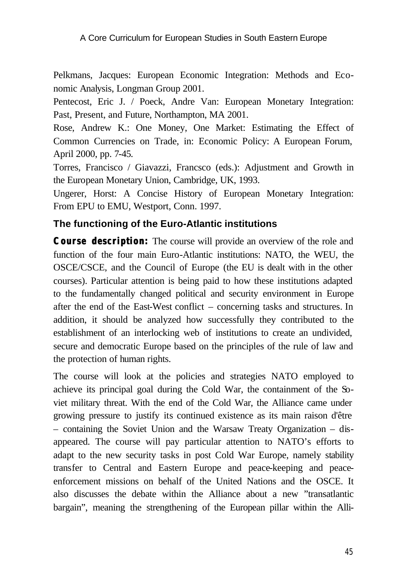Pelkmans, Jacques: European Economic Integration: Methods and Economic Analysis, Longman Group 2001.

Pentecost, Eric J. / Poeck, Andre Van: European Monetary Integration: Past, Present, and Future, Northampton, MA 2001.

Rose, Andrew K.: One Money, One Market: Estimating the Effect of Common Currencies on Trade, in: Economic Policy: A European Forum, April 2000, pp. 7-45.

Torres, Francisco / Giavazzi, Francsco (eds.): Adjustment and Growth in the European Monetary Union, Cambridge, UK, 1993.

Ungerer, Horst: A Concise History of European Monetary Integration: From EPU to EMU, Westport, Conn. 1997.

#### **The functioning of the Euro-Atlantic institutions**

*Course description:* The course will provide an overview of the role and function of the four main Euro-Atlantic institutions: NATO, the WEU, the OSCE/CSCE, and the Council of Europe (the EU is dealt with in the other courses). Particular attention is being paid to how these institutions adapted to the fundamentally changed political and security environment in Europe after the end of the East-West conflict – concerning tasks and structures. In addition, it should be analyzed how successfully they contributed to the establishment of an interlocking web of institutions to create an undivided, secure and democratic Europe based on the principles of the rule of law and the protection of human rights.

The course will look at the policies and strategies NATO employed to achieve its principal goal during the Cold War, the containment of the Soviet military threat. With the end of the Cold War, the Alliance came under growing pressure to justify its continued existence as its main raison d'être – containing the Soviet Union and the Warsaw Treaty Organization – disappeared. The course will pay particular attention to NATO's efforts to adapt to the new security tasks in post Cold War Europe, namely stability transfer to Central and Eastern Europe and peace-keeping and peaceenforcement missions on behalf of the United Nations and the OSCE. It also discusses the debate within the Alliance about a new "transatlantic bargain", meaning the strengthening of the European pillar within the Alli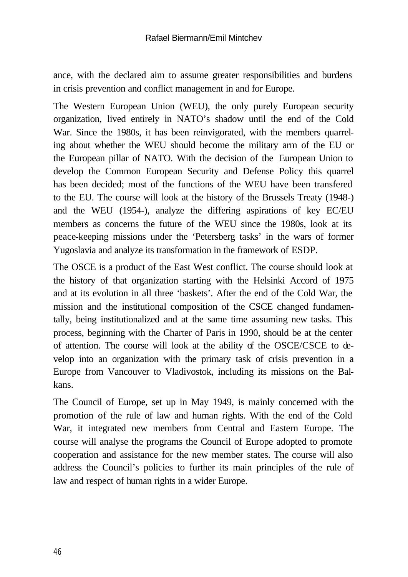ance, with the declared aim to assume greater responsibilities and burdens in crisis prevention and conflict management in and for Europe.

The Western European Union (WEU), the only purely European security organization, lived entirely in NATO's shadow until the end of the Cold War. Since the 1980s, it has been reinvigorated, with the members quarreling about whether the WEU should become the military arm of the EU or the European pillar of NATO. With the decision of the European Union to develop the Common European Security and Defense Policy this quarrel has been decided; most of the functions of the WEU have been transfered to the EU. The course will look at the history of the Brussels Treaty (1948-) and the WEU (1954-), analyze the differing aspirations of key EC/EU members as concerns the future of the WEU since the 1980s, look at its peace-keeping missions under the 'Petersberg tasks' in the wars of former Yugoslavia and analyze its transformation in the framework of ESDP.

The OSCE is a product of the East West conflict. The course should look at the history of that organization starting with the Helsinki Accord of 1975 and at its evolution in all three 'baskets'. After the end of the Cold War, the mission and the institutional composition of the CSCE changed fundamentally, being institutionalized and at the same time assuming new tasks. This process, beginning with the Charter of Paris in 1990, should be at the center of attention. The course will look at the ability of the OSCE/CSCE to develop into an organization with the primary task of crisis prevention in a Europe from Vancouver to Vladivostok, including its missions on the Balkans.

The Council of Europe, set up in May 1949, is mainly concerned with the promotion of the rule of law and human rights. With the end of the Cold War, it integrated new members from Central and Eastern Europe. The course will analyse the programs the Council of Europe adopted to promote cooperation and assistance for the new member states. The course will also address the Council's policies to further its main principles of the rule of law and respect of human rights in a wider Europe.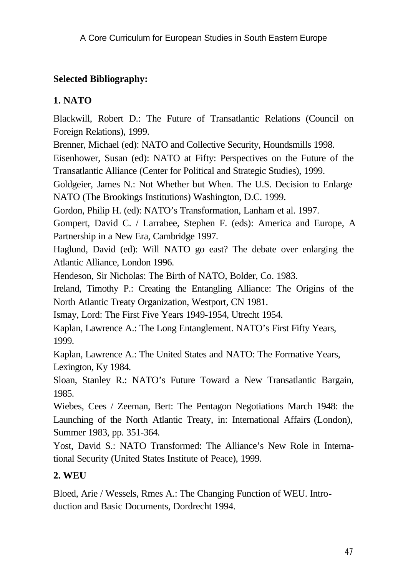# **Selected Bibliography:**

# **1. NATO**

Blackwill, Robert D.: The Future of Transatlantic Relations (Council on Foreign Relations), 1999.

Brenner, Michael (ed): NATO and Collective Security, Houndsmills 1998.

Eisenhower, Susan (ed): NATO at Fifty: Perspectives on the Future of the Transatlantic Alliance (Center for Political and Strategic Studies), 1999.

Goldgeier, James N.: Not Whether but When. The U.S. Decision to Enlarge NATO (The Brookings Institutions) Washington, D.C. 1999.

Gordon, Philip H. (ed): NATO's Transformation, Lanham et al. 1997.

Gompert, David C. / Larrabee, Stephen F. (eds): America and Europe, A Partnership in a New Era, Cambridge 1997.

Haglund, David (ed): Will NATO go east? The debate over enlarging the Atlantic Alliance, London 1996.

Hendeson, Sir Nicholas: The Birth of NATO, Bolder, Co. 1983.

Ireland, Timothy P.: Creating the Entangling Alliance: The Origins of the North Atlantic Treaty Organization, Westport, CN 1981.

Ismay, Lord: The First Five Years 1949-1954, Utrecht 1954.

Kaplan, Lawrence A.: The Long Entanglement. NATO's First Fifty Years, 1999.

Kaplan, Lawrence A.: The United States and NATO: The Formative Years, Lexington, Ky 1984.

Sloan, Stanley R.: NATO's Future Toward a New Transatlantic Bargain, 1985.

Wiebes, Cees / Zeeman, Bert: The Pentagon Negotiations March 1948: the Launching of the North Atlantic Treaty, in: International Affairs (London), Summer 1983, pp. 351-364.

Yost, David S.: NATO Transformed: The Alliance's New Role in International Security (United States Institute of Peace), 1999.

# **2. WEU**

Bloed, Arie / Wessels, Rmes A.: The Changing Function of WEU. Introduction and Basic Documents, Dordrecht 1994.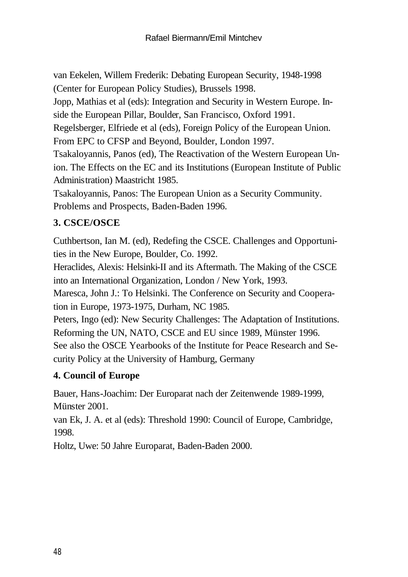van Eekelen, Willem Frederik: Debating European Security, 1948-1998 (Center for European Policy Studies), Brussels 1998.

Jopp, Mathias et al (eds): Integration and Security in Western Europe. Inside the European Pillar, Boulder, San Francisco, Oxford 1991.

Regelsberger, Elfriede et al (eds), Foreign Policy of the European Union. From EPC to CFSP and Beyond, Boulder, London 1997.

Tsakaloyannis, Panos (ed), The Reactivation of the Western European Union. The Effects on the EC and its Institutions (European Institute of Public Administration) Maastricht 1985.

Tsakaloyannis, Panos: The European Union as a Security Community. Problems and Prospects, Baden-Baden 1996.

# **3. CSCE/OSCE**

Cuthbertson, Ian M. (ed), Redefing the CSCE. Challenges and Opportunities in the New Europe, Boulder, Co. 1992.

Heraclides, Alexis: Helsinki-II and its Aftermath. The Making of the CSCE into an International Organization, London / New York, 1993.

Maresca, John J.: To Helsinki. The Conference on Security and Cooperation in Europe, 1973-1975, Durham, NC 1985.

Peters, Ingo (ed): New Security Challenges: The Adaptation of Institutions. Reforming the UN, NATO, CSCE and EU since 1989, Münster 1996. See also the OSCE Yearbooks of the Institute for Peace Research and Se-

curity Policy at the University of Hamburg, Germany

# **4. Council of Europe**

Bauer, Hans-Joachim: Der Europarat nach der Zeitenwende 1989-1999, Münster 2001.

van Ek, J. A. et al (eds): Threshold 1990: Council of Europe, Cambridge, 1998.

Holtz, Uwe: 50 Jahre Europarat, Baden-Baden 2000.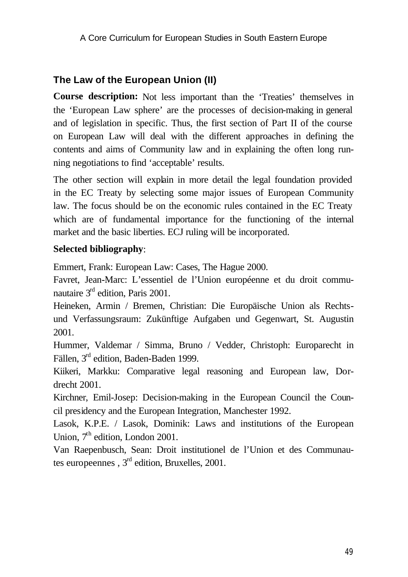#### **The Law of the European Union (II)**

**Course description:** Not less important than the 'Treaties' themselves in the 'European Law sphere' are the processes of decision-making in general and of legislation in specific. Thus, the first section of Part II of the course on European Law will deal with the different approaches in defining the contents and aims of Community law and in explaining the often long running negotiations to find 'acceptable' results.

The other section will explain in more detail the legal foundation provided in the EC Treaty by selecting some major issues of European Community law. The focus should be on the economic rules contained in the EC Treaty which are of fundamental importance for the functioning of the internal market and the basic liberties. ECJ ruling will be incorporated.

#### **Selected bibliography**:

Emmert, Frank: European Law: Cases, The Hague 2000.

Favret, Jean-Marc: L'essentiel de l'Union européenne et du droit communautaire 3<sup>rd</sup> edition, Paris 2001.

Heineken, Armin / Bremen, Christian: Die Europäische Union als Rechtsund Verfassungsraum: Zukünftige Aufgaben und Gegenwart, St. Augustin 2001.

Hummer, Valdemar / Simma, Bruno / Vedder, Christoph: Europarecht in Fällen, 3rd edition, Baden-Baden 1999.

Kiikeri, Markku: Comparative legal reasoning and European law, Dordrecht 2001.

Kirchner, Emil-Josep: Decision-making in the European Council the Council presidency and the European Integration, Manchester 1992.

Lasok, K.P.E. / Lasok, Dominik: Laws and institutions of the European Union, 7<sup>th</sup> edition, London 2001.

Van Raepenbusch, Sean: Droit institutionel de l'Union et des Communautes europeennes ,  $3<sup>rd</sup>$  edition, Bruxelles, 2001.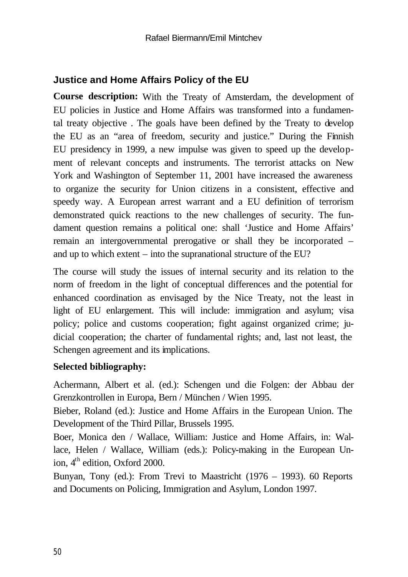# **Justice and Home Affairs Policy of the EU**

**Course description:** With the Treaty of Amsterdam, the development of EU policies in Justice and Home Affairs was transformed into a fundamental treaty objective . The goals have been defined by the Treaty to develop the EU as an "area of freedom, security and justice." During the Finnish EU presidency in 1999, a new impulse was given to speed up the development of relevant concepts and instruments. The terrorist attacks on New York and Washington of September 11, 2001 have increased the awareness to organize the security for Union citizens in a consistent, effective and speedy way. A European arrest warrant and a EU definition of terrorism demonstrated quick reactions to the new challenges of security. The fundament question remains a political one: shall 'Justice and Home Affairs' remain an intergovernmental prerogative or shall they be incorporated – and up to which extent – into the supranational structure of the EU?

The course will study the issues of internal security and its relation to the norm of freedom in the light of conceptual differences and the potential for enhanced coordination as envisaged by the Nice Treaty, not the least in light of EU enlargement. This will include: immigration and asylum; visa policy; police and customs cooperation; fight against organized crime; judicial cooperation; the charter of fundamental rights; and, last not least, the Schengen agreement and its implications.

#### **Selected bibliography:**

Achermann, Albert et al. (ed.): Schengen und die Folgen: der Abbau der Grenzkontrollen in Europa, Bern / München / Wien 1995.

Bieber, Roland (ed.): Justice and Home Affairs in the European Union. The Development of the Third Pillar, Brussels 1995.

Boer, Monica den / Wallace, William: Justice and Home Affairs, in: Wallace, Helen / Wallace, William (eds.): Policy-making in the European Union, 4<sup>th</sup> edition, Oxford 2000.

Bunyan, Tony (ed.): From Trevi to Maastricht (1976 – 1993). 60 Reports and Documents on Policing, Immigration and Asylum, London 1997.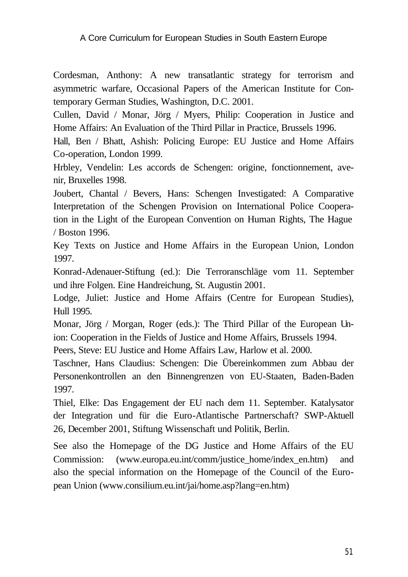Cordesman, Anthony: A new transatlantic strategy for terrorism and asymmetric warfare, Occasional Papers of the American Institute for Contemporary German Studies, Washington, D.C. 2001.

Cullen, David / Monar, Jörg / Myers, Philip: Cooperation in Justice and Home Affairs: An Evaluation of the Third Pillar in Practice, Brussels 1996.

Hall, Ben / Bhatt, Ashish: Policing Europe: EU Justice and Home Affairs Co-operation, London 1999.

Hrbley, Vendelin: Les accords de Schengen: origine, fonctionnement, avenir, Bruxelles 1998.

Joubert, Chantal / Bevers, Hans: Schengen Investigated: A Comparative Interpretation of the Schengen Provision on International Police Cooperation in the Light of the European Convention on Human Rights, The Hague / Boston 1996.

Key Texts on Justice and Home Affairs in the European Union, London 1997.

Konrad-Adenauer-Stiftung (ed.): Die Terroranschläge vom 11. September und ihre Folgen. Eine Handreichung, St. Augustin 2001.

Lodge, Juliet: Justice and Home Affairs (Centre for European Studies), Hull 1995.

Monar, Jörg / Morgan, Roger (eds.): The Third Pillar of the European Union: Cooperation in the Fields of Justice and Home Affairs, Brussels 1994.

Peers, Steve: EU Justice and Home Affairs Law, Harlow et al. 2000.

Taschner, Hans Claudius: Schengen: Die Übereinkommen zum Abbau der Personenkontrollen an den Binnengrenzen von EU-Staaten, Baden-Baden 1997.

Thiel, Elke: Das Engagement der EU nach dem 11. September. Katalysator der Integration und für die Euro-Atlantische Partnerschaft? SWP-Aktuell 26, December 2001, Stiftung Wissenschaft und Politik, Berlin.

See also the Homepage of the DG Justice and Home Affairs of the EU Commission: (www.europa.eu.int/comm/justice\_home/index\_en.htm) and also the special information on the Homepage of the Council of the European Union (www.consilium.eu.int/jai/home.asp?lang=en.htm)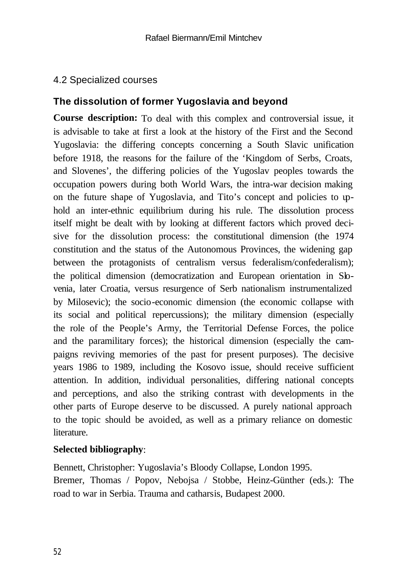### 4.2 Specialized courses

#### **The dissolution of former Yugoslavia and beyond**

**Course description:** To deal with this complex and controversial issue, it is advisable to take at first a look at the history of the First and the Second Yugoslavia: the differing concepts concerning a South Slavic unification before 1918, the reasons for the failure of the 'Kingdom of Serbs, Croats, and Slovenes', the differing policies of the Yugoslav peoples towards the occupation powers during both World Wars, the intra-war decision making on the future shape of Yugoslavia, and Tito's concept and policies to uphold an inter-ethnic equilibrium during his rule. The dissolution process itself might be dealt with by looking at different factors which proved decisive for the dissolution process: the constitutional dimension (the 1974 constitution and the status of the Autonomous Provinces, the widening gap between the protagonists of centralism versus federalism/confederalism); the political dimension (democratization and European orientation in Slovenia, later Croatia, versus resurgence of Serb nationalism instrumentalized by Milosevic); the socio-economic dimension (the economic collapse with its social and political repercussions); the military dimension (especially the role of the People's Army, the Territorial Defense Forces, the police and the paramilitary forces); the historical dimension (especially the campaigns reviving memories of the past for present purposes). The decisive years 1986 to 1989, including the Kosovo issue, should receive sufficient attention. In addition, individual personalities, differing national concepts and perceptions, and also the striking contrast with developments in the other parts of Europe deserve to be discussed. A purely national approach to the topic should be avoided, as well as a primary reliance on domestic literature.

#### **Selected bibliography**:

Bennett, Christopher: Yugoslavia's Bloody Collapse, London 1995. Bremer, Thomas / Popov, Nebojsa / Stobbe, Heinz-Günther (eds.): The road to war in Serbia. Trauma and catharsis, Budapest 2000.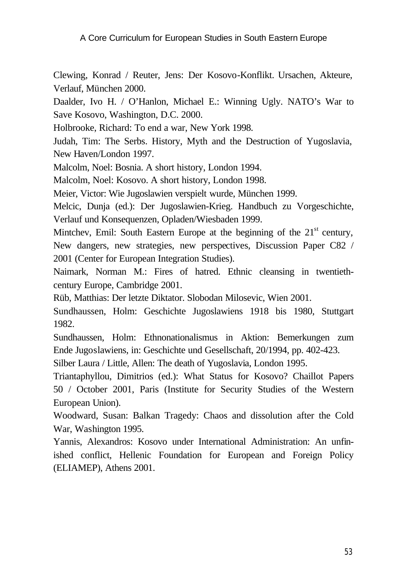Clewing, Konrad / Reuter, Jens: Der Kosovo-Konflikt. Ursachen, Akteure, Verlauf, München 2000.

Daalder, Ivo H. / O'Hanlon, Michael E.: Winning Ugly. NATO's War to Save Kosovo, Washington, D.C. 2000.

Holbrooke, Richard: To end a war, New York 1998.

Judah, Tim: The Serbs. History, Myth and the Destruction of Yugoslavia, New Haven/London 1997.

Malcolm, Noel: Bosnia. A short history, London 1994.

Malcolm, Noel: Kosovo. A short history, London 1998.

Meier, Victor: Wie Jugoslawien verspielt wurde, München 1999.

Melcic, Dunja (ed.): Der Jugoslawien-Krieg. Handbuch zu Vorgeschichte, Verlauf und Konsequenzen, Opladen/Wiesbaden 1999.

Mintchev, Emil: South Eastern Europe at the beginning of the  $21<sup>st</sup>$  century, New dangers, new strategies, new perspectives, Discussion Paper C82 / 2001 (Center for European Integration Studies).

Naimark, Norman M.: Fires of hatred. Ethnic cleansing in twentiethcentury Europe, Cambridge 2001.

Rüb, Matthias: Der letzte Diktator. Slobodan Milosevic, Wien 2001.

Sundhaussen, Holm: Geschichte Jugoslawiens 1918 bis 1980, Stuttgart 1982.

Sundhaussen, Holm: Ethnonationalismus in Aktion: Bemerkungen zum Ende Jugoslawiens, in: Geschichte und Gesellschaft, 20/1994, pp. 402-423.

Silber Laura / Little, Allen: The death of Yugoslavia, London 1995.

Triantaphyllou, Dimitrios (ed.): What Status for Kosovo? Chaillot Papers 50 / October 2001, Paris (Institute for Security Studies of the Western European Union).

Woodward, Susan: Balkan Tragedy: Chaos and dissolution after the Cold War, Washington 1995.

Yannis, Alexandros: Kosovo under International Administration: An unfinished conflict, Hellenic Foundation for European and Foreign Policy (ELIAMEP), Athens 2001.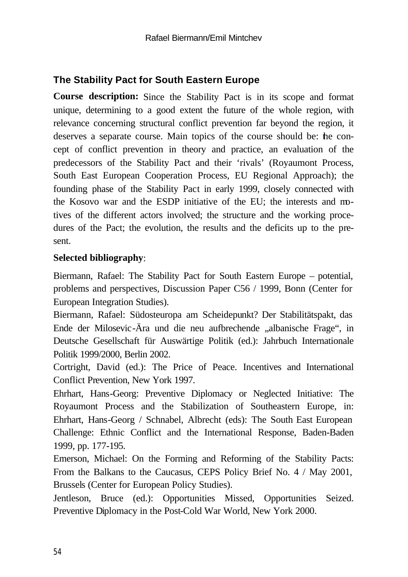# **The Stability Pact for South Eastern Europe**

**Course description:** Since the Stability Pact is in its scope and format unique, determining to a good extent the future of the whole region, with relevance concerning structural conflict prevention far beyond the region, it deserves a separate course. Main topics of the course should be: the concept of conflict prevention in theory and practice, an evaluation of the predecessors of the Stability Pact and their 'rivals' (Royaumont Process, South East European Cooperation Process, EU Regional Approach); the founding phase of the Stability Pact in early 1999, closely connected with the Kosovo war and the ESDP initiative of the EU; the interests and motives of the different actors involved; the structure and the working procedures of the Pact; the evolution, the results and the deficits up to the present.

#### **Selected bibliography**:

Biermann, Rafael: The Stability Pact for South Eastern Europe – potential, problems and perspectives, Discussion Paper C56 / 1999, Bonn (Center for European Integration Studies).

Biermann, Rafael: Südosteuropa am Scheidepunkt? Der Stabilitätspakt, das Ende der Milosevic-Ära und die neu aufbrechende "albanische Frage", in Deutsche Gesellschaft für Auswärtige Politik (ed.): Jahrbuch Internationale Politik 1999/2000, Berlin 2002.

Cortright, David (ed.): The Price of Peace. Incentives and International Conflict Prevention, New York 1997.

Ehrhart, Hans-Georg: Preventive Diplomacy or Neglected Initiative: The Royaumont Process and the Stabilization of Southeastern Europe, in: Ehrhart, Hans-Georg / Schnabel, Albrecht (eds): The South East European Challenge: Ethnic Conflict and the International Response, Baden-Baden 1999, pp. 177-195.

Emerson, Michael: On the Forming and Reforming of the Stability Pacts: From the Balkans to the Caucasus, CEPS Policy Brief No. 4 / May 2001, Brussels (Center for European Policy Studies).

Jentleson, Bruce (ed.): Opportunities Missed, Opportunities Seized. Preventive Diplomacy in the Post-Cold War World, New York 2000.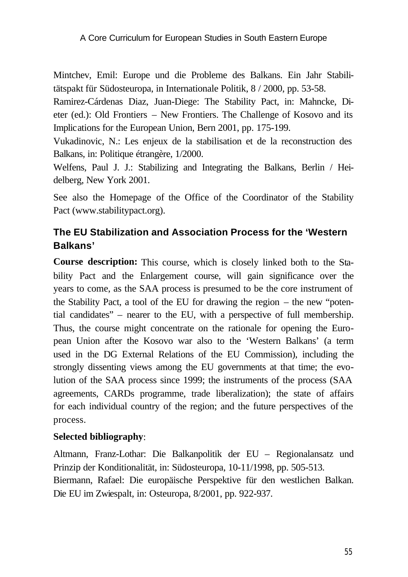Mintchev, Emil: Europe und die Probleme des Balkans. Ein Jahr Stabilitätspakt für Südosteuropa, in Internationale Politik, 8 / 2000, pp. 53-58.

Ramirez-Cárdenas Diaz, Juan-Diege: The Stability Pact, in: Mahncke, Dieter (ed.): Old Frontiers – New Frontiers. The Challenge of Kosovo and its Implications for the European Union, Bern 2001, pp. 175-199.

Vukadinovic, N.: Les enjeux de la stabilisation et de la reconstruction des Balkans, in: Politique étrangère, 1/2000.

Welfens, Paul J. J.: Stabilizing and Integrating the Balkans, Berlin / Heidelberg, New York 2001.

See also the Homepage of the Office of the Coordinator of the Stability Pact (www.stabilitypact.org).

# **The EU Stabilization and Association Process for the 'Western Balkans'**

**Course description:** This course, which is closely linked both to the Stability Pact and the Enlargement course, will gain significance over the years to come, as the SAA process is presumed to be the core instrument of the Stability Pact, a tool of the EU for drawing the region – the new "potential candidates" – nearer to the EU, with a perspective of full membership. Thus, the course might concentrate on the rationale for opening the European Union after the Kosovo war also to the 'Western Balkans' (a term used in the DG External Relations of the EU Commission), including the strongly dissenting views among the EU governments at that time; the evolution of the SAA process since 1999; the instruments of the process (SAA agreements, CARDs programme, trade liberalization); the state of affairs for each individual country of the region; and the future perspectives of the process.

#### **Selected bibliography**:

Altmann, Franz-Lothar: Die Balkanpolitik der EU – Regionalansatz und Prinzip der Konditionalität, in: Südosteuropa, 10-11/1998, pp. 505-513. Biermann, Rafael: Die europäische Perspektive für den westlichen Balkan. Die EU im Zwiespalt, in: Osteuropa, 8/2001, pp. 922-937.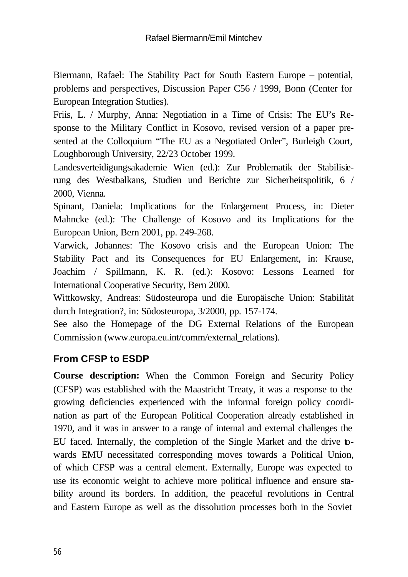Biermann, Rafael: The Stability Pact for South Eastern Europe – potential, problems and perspectives, Discussion Paper C56 / 1999, Bonn (Center for European Integration Studies).

Friis, L. / Murphy, Anna: Negotiation in a Time of Crisis: The EU's Response to the Military Conflict in Kosovo, revised version of a paper presented at the Colloquium "The EU as a Negotiated Order", Burleigh Court, Loughborough University, 22/23 October 1999.

Landesverteidigungsakademie Wien (ed.): Zur Problematik der Stabilisierung des Westbalkans, Studien und Berichte zur Sicherheitspolitik, 6 / 2000, Vienna.

Spinant, Daniela: Implications for the Enlargement Process, in: Dieter Mahncke (ed.): The Challenge of Kosovo and its Implications for the European Union, Bern 2001, pp. 249-268.

Varwick, Johannes: The Kosovo crisis and the European Union: The Stability Pact and its Consequences for EU Enlargement, in: Krause, Joachim / Spillmann, K. R. (ed.): Kosovo: Lessons Learned for International Cooperative Security, Bern 2000.

Wittkowsky, Andreas: Südosteuropa und die Europäische Union: Stabilität durch Integration?, in: Südosteuropa, 3/2000, pp. 157-174.

See also the Homepage of the DG External Relations of the European Commission (www.europa.eu.int/comm/external\_relations).

# **From CFSP to ESDP**

**Course description:** When the Common Foreign and Security Policy (CFSP) was established with the Maastricht Treaty, it was a response to the growing deficiencies experienced with the informal foreign policy coordination as part of the European Political Cooperation already established in 1970, and it was in answer to a range of internal and external challenges the EU faced. Internally, the completion of the Single Market and the drive towards EMU necessitated corresponding moves towards a Political Union, of which CFSP was a central element. Externally, Europe was expected to use its economic weight to achieve more political influence and ensure stability around its borders. In addition, the peaceful revolutions in Central and Eastern Europe as well as the dissolution processes both in the Soviet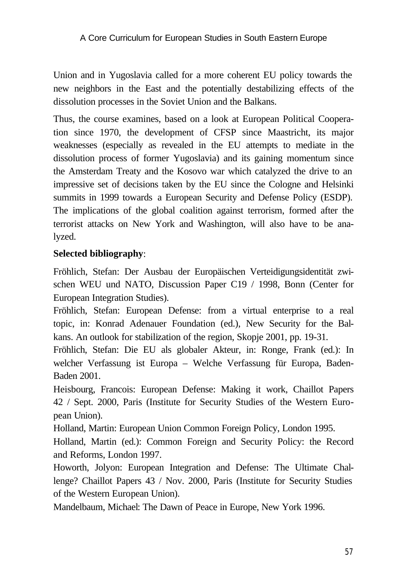Union and in Yugoslavia called for a more coherent EU policy towards the new neighbors in the East and the potentially destabilizing effects of the dissolution processes in the Soviet Union and the Balkans.

Thus, the course examines, based on a look at European Political Cooperation since 1970, the development of CFSP since Maastricht, its major weaknesses (especially as revealed in the EU attempts to mediate in the dissolution process of former Yugoslavia) and its gaining momentum since the Amsterdam Treaty and the Kosovo war which catalyzed the drive to an impressive set of decisions taken by the EU since the Cologne and Helsinki summits in 1999 towards a European Security and Defense Policy (ESDP). The implications of the global coalition against terrorism, formed after the terrorist attacks on New York and Washington, will also have to be analyzed.

#### **Selected bibliography**:

Fröhlich, Stefan: Der Ausbau der Europäischen Verteidigungsidentität zwischen WEU und NATO, Discussion Paper C19 / 1998, Bonn (Center for European Integration Studies).

Fröhlich, Stefan: European Defense: from a virtual enterprise to a real topic, in: Konrad Adenauer Foundation (ed.), New Security for the Balkans. An outlook for stabilization of the region, Skopje 2001, pp. 19-31.

Fröhlich, Stefan: Die EU als globaler Akteur, in: Ronge, Frank (ed.): In welcher Verfassung ist Europa – Welche Verfassung für Europa, Baden-Baden 2001.

Heisbourg, Francois: European Defense: Making it work, Chaillot Papers 42 / Sept. 2000, Paris (Institute for Security Studies of the Western European Union).

Holland, Martin: European Union Common Foreign Policy, London 1995.

Holland, Martin (ed.): Common Foreign and Security Policy: the Record and Reforms, London 1997.

Howorth, Jolyon: European Integration and Defense: The Ultimate Challenge? Chaillot Papers 43 / Nov. 2000, Paris (Institute for Security Studies of the Western European Union).

Mandelbaum, Michael: The Dawn of Peace in Europe, New York 1996.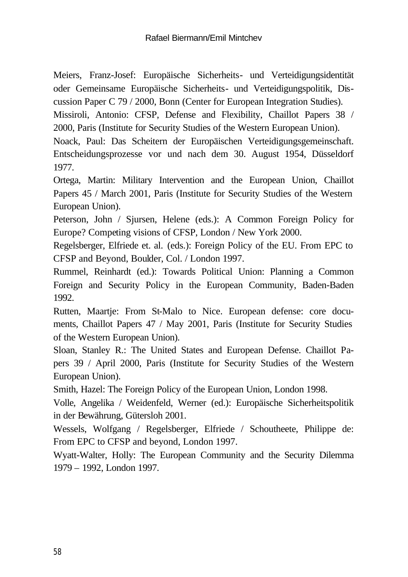Meiers, Franz-Josef: Europäische Sicherheits- und Verteidigungsidentität oder Gemeinsame Europäische Sicherheits- und Verteidigungspolitik, Discussion Paper C 79 / 2000, Bonn (Center for European Integration Studies).

Missiroli, Antonio: CFSP, Defense and Flexibility, Chaillot Papers 38 / 2000, Paris (Institute for Security Studies of the Western European Union).

Noack, Paul: Das Scheitern der Europäischen Verteidigungsgemeinschaft. Entscheidungsprozesse vor und nach dem 30. August 1954, Düsseldorf 1977.

Ortega, Martin: Military Intervention and the European Union, Chaillot Papers 45 / March 2001, Paris (Institute for Security Studies of the Western European Union).

Peterson, John / Sjursen, Helene (eds.): A Common Foreign Policy for Europe? Competing visions of CFSP, London / New York 2000.

Regelsberger, Elfriede et. al. (eds.): Foreign Policy of the EU. From EPC to CFSP and Beyond, Boulder, Col. / London 1997.

Rummel, Reinhardt (ed.): Towards Political Union: Planning a Common Foreign and Security Policy in the European Community, Baden-Baden 1992.

Rutten, Maartje: From St-Malo to Nice. European defense: core documents, Chaillot Papers 47 / May 2001, Paris (Institute for Security Studies of the Western European Union).

Sloan, Stanley R.: The United States and European Defense. Chaillot Papers 39 / April 2000, Paris (Institute for Security Studies of the Western European Union).

Smith, Hazel: The Foreign Policy of the European Union, London 1998.

Volle, Angelika / Weidenfeld, Werner (ed.): Europäische Sicherheitspolitik in der Bewährung, Gütersloh 2001.

Wessels, Wolfgang / Regelsberger, Elfriede / Schoutheete, Philippe de: From EPC to CFSP and beyond, London 1997.

Wyatt-Walter, Holly: The European Community and the Security Dilemma 1979 – 1992, London 1997.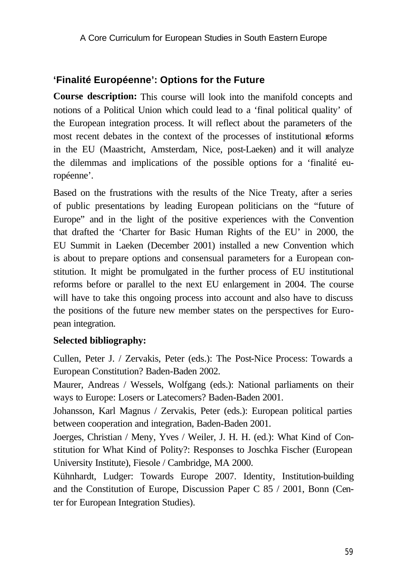# **'Finalité Européenne': Options for the Future**

**Course description:** This course will look into the manifold concepts and notions of a Political Union which could lead to a 'final political quality' of the European integration process. It will reflect about the parameters of the most recent debates in the context of the processes of institutional reforms in the EU (Maastricht, Amsterdam, Nice, post-Laeken) and it will analyze the dilemmas and implications of the possible options for a 'finalité européenne'.

Based on the frustrations with the results of the Nice Treaty, after a series of public presentations by leading European politicians on the "future of Europe" and in the light of the positive experiences with the Convention that drafted the 'Charter for Basic Human Rights of the EU' in 2000, the EU Summit in Laeken (December 2001) installed a new Convention which is about to prepare options and consensual parameters for a European constitution. It might be promulgated in the further process of EU institutional reforms before or parallel to the next EU enlargement in 2004. The course will have to take this ongoing process into account and also have to discuss the positions of the future new member states on the perspectives for European integration.

#### **Selected bibliography:**

Cullen, Peter J. / Zervakis, Peter (eds.): The Post-Nice Process: Towards a European Constitution? Baden-Baden 2002.

Maurer, Andreas / Wessels, Wolfgang (eds.): National parliaments on their ways to Europe: Losers or Latecomers? Baden-Baden 2001.

Johansson, Karl Magnus / Zervakis, Peter (eds.): European political parties between cooperation and integration, Baden-Baden 2001.

Joerges, Christian / Meny, Yves / Weiler, J. H. H. (ed.): What Kind of Constitution for What Kind of Polity?: Responses to Joschka Fischer (European University Institute), Fiesole / Cambridge, MA 2000.

Kühnhardt, Ludger: Towards Europe 2007. Identity, Institution-building and the Constitution of Europe, Discussion Paper C 85 / 2001, Bonn (Center for European Integration Studies).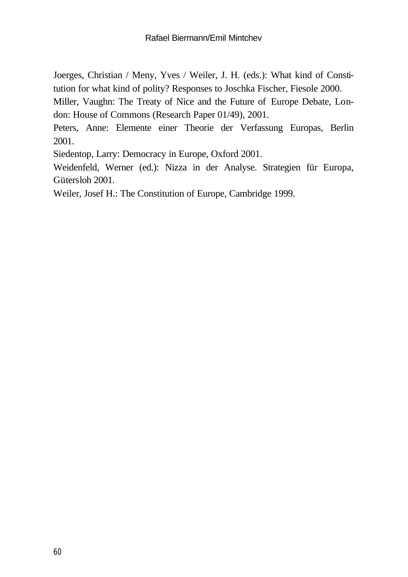Joerges, Christian / Meny, Yves / Weiler, J. H. (eds.): What kind of Constitution for what kind of polity? Responses to Joschka Fischer, Fiesole 2000.

Miller, Vaughn: The Treaty of Nice and the Future of Europe Debate, London: House of Commons (Research Paper 01/49), 2001.

Peters, Anne: Elemente einer Theorie der Verfassung Europas, Berlin 2001.

Siedentop, Larry: Democracy in Europe, Oxford 2001.

Weidenfeld, Werner (ed.): Nizza in der Analyse. Strategien für Europa, Gütersloh 2001.

Weiler, Josef H.: The Constitution of Europe, Cambridge 1999.